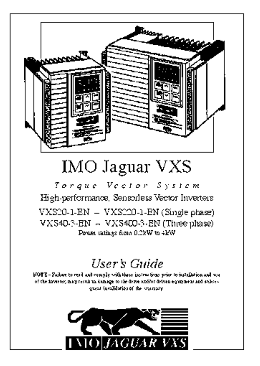

# **IMO Jaguar VXS**

Torque Vector System High-performance, Sensorless Vector Inverters  $VXS20-1-EN = VXS220-1-EN(Single phase)$ VXS40-3-EN - VXS400-3-EN (Three phase) Power ratings from 0.2EW to 4EW

# User's Guide

NOTE - Failure to read and comply with these instructions prior to installation and was of the invertor, many result in demage to the derive andfor deliven equipment and stakes. Theory of the chine filosof teams

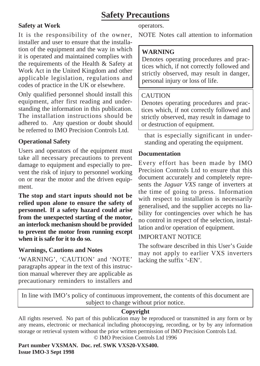### **Safety Precautions**

### **Safety at Work**

It is the responsibility of the owner, installer and user to ensure that the installation of the equipment and the way in which it is operated and maintained complies with the requirements of the Health & Safety at Work Act in the United Kingdom and other applicable legislation, regulations and codes of practice in the UK or elsewhere.

Only qualified personnel should install this equipment, after first reading and understanding the information in this publication. The installation instructions should be adhered to. Any question or doubt should be referred to IMO Precision Controls Ltd.

### **Operational Safety**

Users and operators of the equipment must take all necessary precautions to prevent damage to equipment and especially to prevent the risk of injury to personnel working on or near the motor and the driven equipment.

**The stop and start inputs should not be relied upon alone to ensure the safety of personnel. If a safety hazard could arise from the unexpected starting of the motor, an interlock mechanism should be provided to prevent the motor from running except when it is safe for it to do so.**

### **Warnings, Cautions and Notes**

'WARNING', 'CAUTION' and 'NOTE' paragraphs appear in the text of this instruction manual wherever they are applicable as precautionary reminders to installers and operators.

NOTE Notes call attention to information

### **WARNING**

Denotes operating procedures and practices which, if not correctly followed and strictly observed, may result in danger, personal injury or loss of life.

### CAUTION

Denotes operating procedures and practices which, if not correctly followed and strictly observed, may result in damage to or destruction of equipment.

that is especially significant in understanding and operating the equipment.

### **Documentation**

Every effort has been made by IMO Precision Controls Ltd to ensure that this document accurately and completely represents the *Jaguar VXS* range of inverters at the time of going to press. Information with respect to installation is necessarily generalised, and the supplier accepts no liability for contingencies over which he has no control in respect of the selection, installation and/or operation of equipment.

### IMPORTANT NOTICE

The software described in this User's Guide may not apply to earlier VXS inverters lacking the suffix '-EN'.

In line with IMO's policy of continuous improvement, the contents of this document are subject to change without prior notice.

### **Copyright**

All rights reserved. No part of this publication may be reproduced or transmitted in any form or by any means, electronic or mechanical including photocopying, recording, or by by any information storage or retrieval system without the prior written permission of IMO Precision Controls Ltd. © IMO Precision Controls Ltd 1996

**Part number VXSMAN. Doc. ref. SWK VXS20-VXS400. Issue IMO-3 Sept 1998**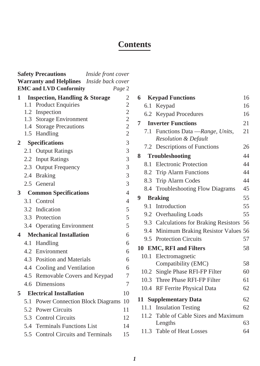### **Contents**

|                |     | <b>Safety Precautions</b><br>Inside front cover |                |
|----------------|-----|-------------------------------------------------|----------------|
|                |     | Warranty and Helplines Inside back cover        |                |
|                |     | <b>EMC</b> and LVD Conformity                   | Page 2         |
| 1              |     | <b>Inspection, Handling &amp; Storage</b>       | 2              |
|                | 1.1 | <b>Product Enquiries</b>                        | $\overline{c}$ |
|                |     | 1.2 Inspection                                  | $\frac{2}{2}$  |
|                |     | 1.3 Storage Environment                         | $\overline{c}$ |
|                |     | 1.4 Storage Precautions<br>1.5 Handling         | $\overline{c}$ |
| $\mathbf{2}$   |     | <b>Specifications</b>                           | 3              |
|                |     | 2.1 Output Ratings                              | 3              |
|                |     | 2.2 Input Ratings                               | 3              |
|                |     | 2.3 Output Frequency                            | 3              |
|                |     | 2.4 Braking                                     | 3              |
|                |     | 2.5 General                                     | 3              |
| 3 <sup>1</sup> |     | <b>Common Specifications</b>                    | $\overline{4}$ |
|                |     | 3.1 Control                                     | $\overline{4}$ |
|                |     | 3.2 Indication                                  | 5              |
|                |     | 3.3 Protection                                  | 5              |
|                |     | 3.4 Operating Environment                       | 5              |
| 4              |     | <b>Mechanical Installation</b>                  | 6              |
|                | 4.1 | Handling                                        | 6              |
|                |     | 4.2 Environment                                 | 6              |
|                |     | 4.3 Position and Materials                      | 6              |
|                |     | 4.4 Cooling and Ventilation                     | 6              |
|                |     | 4.5 Removable Covers and Keypad                 | 7              |
|                |     | 4.6 Dimensions                                  | 7              |
| 5              |     | <b>Electrical Installation</b>                  | 10             |
|                |     | 5.1 Power Connection Block Diagrams             | 10             |
|                |     | 5.2 Power Circuits                              | 11             |
|                |     | 5.3 Control Circuits                            | 12             |
|                |     | 5.4 Terminals Functions List                    | 14             |
|                | 5.5 | Control Circuits and Terminals                  | 15             |

|   | <b>Keypad Functions</b><br>6<br>16 |                                        |    |  |  |  |  |  |
|---|------------------------------------|----------------------------------------|----|--|--|--|--|--|
|   |                                    | 6.1 Keypad                             | 16 |  |  |  |  |  |
|   |                                    | 6.2 Keypad Procedures                  | 16 |  |  |  |  |  |
| 7 |                                    | <b>Inverter Functions</b>              | 21 |  |  |  |  |  |
|   |                                    | 7.1 Functions Data -Range, Units,      | 21 |  |  |  |  |  |
|   |                                    | <b>Resolution &amp; Default</b>        |    |  |  |  |  |  |
|   |                                    | 7.2 Descriptions of Functions          | 26 |  |  |  |  |  |
| 8 |                                    | Troubleshooting                        | 44 |  |  |  |  |  |
|   | 8.1                                | Electronic Protection                  | 44 |  |  |  |  |  |
|   |                                    | 8.2 Trip Alarm Functions               | 44 |  |  |  |  |  |
|   |                                    | 8.3 Trip Alarm Codes                   | 44 |  |  |  |  |  |
|   |                                    | 8.4 Troubleshooting Flow Diagrams      | 45 |  |  |  |  |  |
| 9 |                                    | <b>Braking</b>                         | 55 |  |  |  |  |  |
|   | 9.1                                | Introduction                           | 55 |  |  |  |  |  |
|   |                                    | 9.2 Overhauling Loads                  | 55 |  |  |  |  |  |
|   |                                    | 9.3 Calculations for Braking Resistors | 56 |  |  |  |  |  |
|   |                                    | 9.4 Minimum Braking Resistor Values 56 |    |  |  |  |  |  |
|   |                                    | 9.5 Protection Circuits                | 57 |  |  |  |  |  |
|   |                                    | 10 EMC, RFI and Filters                | 58 |  |  |  |  |  |
|   |                                    | 10.1 Electromagnetic                   |    |  |  |  |  |  |
|   |                                    | Compatibility (EMC)                    | 58 |  |  |  |  |  |
|   |                                    | 10.2 Single Phase RFI-FP Filter        | 60 |  |  |  |  |  |
|   |                                    | 10.3 Three Phase RFI-FP Filter         | 61 |  |  |  |  |  |
|   |                                    | 10.4 RF Ferrite Physical Data          | 62 |  |  |  |  |  |
|   |                                    | 11 Supplementary Data                  | 62 |  |  |  |  |  |
|   |                                    | 11.1 Insulation Testing                | 62 |  |  |  |  |  |
|   |                                    | 11.2 Table of Cable Sizes and Maximum  |    |  |  |  |  |  |
|   |                                    | Lengths                                | 63 |  |  |  |  |  |
|   |                                    | 11.3 Table of Heat Losses              | 64 |  |  |  |  |  |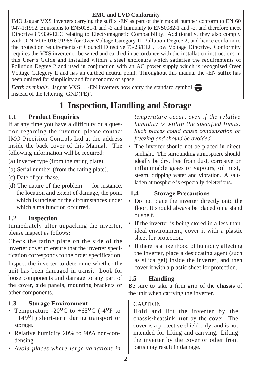### **EMC and LVD Conformity**

IMO Jaguar VXS Inverters carrying the suffix -EN as part of their model number conform to EN 60 947-1:1992, Emissions to EN50081-1 and -2 and Immunity to EN50082-1 and -2, and therefore meet Directive 89/336/EEC relating to Electromagnetic Compatibility. Additionally, they also comply with DIN VDE 0160/1988 for Over Voltage Category II, Pollution Degree 2, and hence conform to the protection requirements of Council Directive 73/23/EEC, Low Voltage Directive. Conformity requires the VXS inverter to be wired and earthed in accordance with the installation instructions in this User's Guide and installed within a steel enclosure which satisfies the requirements of Pollution Degree 2 and used in conjunction with an AC power supply which is recognised Over Voltage Category II and has an earthed neutral point. Throughout this manual the -EN suffix has been omitted for simplicity and for economy of space.

*Earth terminals.* Jaguar VXS… -EN inverters now carry the standard symbol instead of the lettering 'GND(PE)'.

# **1 Inspection, Handling and Storage**

### **1.1 Product Enquiries**

If at any time you have a difficulty or a question regarding the inverter, please contact IMO Precision Controls Ltd at the address inside the back cover of this Manual. The following information will be required:

- (a) Inverter type (from the rating plate).
- (b) Serial number (from the rating plate).
- (c) Date of purchase.
- (d) The nature of the problem for instance, the location and extent of damage, the point which is unclear or the circumstances under which a malfunction occurred.

### **1.2 Inspection**

Immediately after unpacking the inverter, please inspect as follows:

Check the rating plate on the side of the inverter cover to ensure that the inverter specification corresponds to the order specification.

Inspect the inverter to determine whether the unit has been damaged in transit. Look for loose components and damage to any part of the cover, side panels, mounting brackets or other components.

### **1.3 Storage Environment**

- Temperature -20<sup>o</sup>C to +65<sup>o</sup>C (-4<sup>o</sup>F to  $+149^{\circ}$ F) short-term during transport or storage.
- Relative humidity 20% to 90% non-condensing.
- *Avoid places where large variations in*

*temperature occur, even if the relative humidity is within the specified limits. Such places could cause condensation or freezing and should be avoided.*

The inverter should not be placed in direct sunlight. The surrounding atmosphere should ideally be dry, free from dust, corrosive or inflammable gases or vapours, oil mist, steam, dripping water and vibration. A saltladen atmosphere is especially deleterious.

### **1.4 Storage Precautions**

- Do not place the inverter directly onto the floor. It should always be placed on a stand or shelf.
- If the inverter is being stored in a less-thanideal environment, cover it with a plastic sheet for protection.
- If there is a likelihood of humidity affecting the inverter, place a desiccating agent (such as silica gel) inside the inverter, and then cover it with a plastic sheet for protection.

### **1.5 Handling**

Be sure to take a firm grip of the **chassis** of the unit when carrying the inverter.

### CAUTION

Hold and lift the inverter by the chassis/heatsink, **not** by the cover. The cover is a protective shield only, and is not intended for lifting and carrying. Lifting the inverter by the cover or other front parts may result in damage.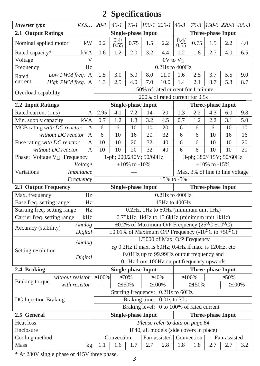## **2 Specifications**

| VXS<br><b>Inverter</b> type                       |        | $20 - 1$                                                                                | $40 - 1$     | $75 - 1$        | $150 - 1$ 220-1           |                                                                                  | $40 - 3$      | $75 - 3$                                      | $ 150-3 220-3 400-3 $    |                 |              |  |  |
|---------------------------------------------------|--------|-----------------------------------------------------------------------------------------|--------------|-----------------|---------------------------|----------------------------------------------------------------------------------|---------------|-----------------------------------------------|--------------------------|-----------------|--------------|--|--|
| 2.1 Output Ratings                                |        |                                                                                         |              |                 | <b>Single-phase Input</b> |                                                                                  |               | <b>Three-phase Input</b>                      |                          |                 |              |  |  |
| Nominal applied motor                             | kW     | 0.2                                                                                     | 0.4/<br>0.55 | 0.75            | 1.5                       | 2.2                                                                              | 0.4/<br>0.55  | 0.75                                          | 1.5                      | 2.2             | 4.0          |  |  |
| kVA<br>Rated capacity*                            |        | 0.6                                                                                     | 1.2          | 2.0             | 3.2                       | 4.4                                                                              | 1.2           | 1.8                                           | 2.7                      | 4.0             | 6.5          |  |  |
| Voltage                                           | V      |                                                                                         |              |                 |                           |                                                                                  | $0V$ to $V_L$ |                                               |                          |                 |              |  |  |
| Frequency                                         | Hz     | 0.2Hz to 400Hz                                                                          |              |                 |                           |                                                                                  |               |                                               |                          |                 |              |  |  |
| Low PWM freq. A<br>Rated                          |        | 1.5                                                                                     | 3.0          | 5.0             | 8.0                       | 11.0                                                                             | 1.6           | 2.5                                           | 3.7                      | 5.5             | 9.0          |  |  |
| current<br>High PWM freq. A                       |        | 1.3                                                                                     | 2.5          | 4.0             | 7.0                       | 10.0                                                                             | 1.4           | 2.1                                           | 3.7                      | 5.3             | 8.7          |  |  |
| Overload capability                               |        | 150% of rated current for 1 minute                                                      |              |                 |                           |                                                                                  |               |                                               |                          |                 |              |  |  |
|                                                   |        | 200% of rated current for 0.5s<br><b>Single-phase Input</b><br><b>Three-phase Input</b> |              |                 |                           |                                                                                  |               |                                               |                          |                 |              |  |  |
| 2.2 Input Ratings                                 |        |                                                                                         |              |                 |                           |                                                                                  |               |                                               |                          |                 |              |  |  |
| Rated current (rms)                               | А      | 2.95                                                                                    | 4.1          | 7.2             | 14                        | 20                                                                               | 1.3           | 2.2                                           | 4.3                      | 6.0             | 9.8          |  |  |
| Min. supply capacity<br>kVA                       |        | 0.7                                                                                     | 1.2          | 1.8             | 3.2                       | 4.5                                                                              | 0.7           | 1.2                                           | 2.2                      | 3.1             | 5.0          |  |  |
| MCB rating with DC reactor                        | А      | 6                                                                                       | 6            | $\overline{10}$ | $\overline{10}$           | $\overline{20}$                                                                  | 6             | 6                                             | 6                        | $\overline{10}$ | 10           |  |  |
| without DC reactor                                | A      | 6                                                                                       | 10<br>10     | 16<br>20        | 20<br>$\overline{32}$     | $\overline{32}$<br>40                                                            | 6             | 6                                             | 10<br>10                 | 16<br>10        | 16<br>20     |  |  |
| Fuse rating with DC reactor<br>without DC reactor | A<br>A | 10<br>10                                                                                | 10           | 20              | 32                        | 40                                                                               | 6<br>6        | 6<br>6                                        | 10                       | 10              | 20           |  |  |
| Phase; Voltage V <sub>L</sub> ; Frequency         |        |                                                                                         |              |                 |                           |                                                                                  |               |                                               |                          |                 |              |  |  |
| Voltage                                           |        | 1-ph; 200/240V; 50/60Hz<br>$+10\%$ to $-10\%$                                           |              |                 |                           |                                                                                  |               | 3-ph; 380/415V; 50/60Hz<br>$+10\%$ to $-15\%$ |                          |                 |              |  |  |
| Imbalance<br>Variations                           |        | Max. 3% of line to line voltage                                                         |              |                 |                           |                                                                                  |               |                                               |                          |                 |              |  |  |
| Frequency                                         |        | $+5\%$ to $-5\%$                                                                        |              |                 |                           |                                                                                  |               |                                               |                          |                 |              |  |  |
|                                                   |        |                                                                                         |              |                 |                           |                                                                                  |               |                                               |                          |                 |              |  |  |
|                                                   |        |                                                                                         |              |                 | <b>Single-phase Input</b> |                                                                                  |               |                                               | <b>Three-phase Input</b> |                 |              |  |  |
| 2.3 Output Frequency<br>Max. frequency            | Hz     |                                                                                         |              |                 |                           | 0.2Hz to 400Hz                                                                   |               |                                               |                          |                 |              |  |  |
| Base freq. setting range                          | Hz     |                                                                                         |              |                 |                           | 15Hz to 400Hz                                                                    |               |                                               |                          |                 |              |  |  |
| Starting freq. setting range                      | Hz     |                                                                                         |              |                 |                           | 0.2Hz, 1Hz to 60Hz (minimum unit 1Hz)                                            |               |                                               |                          |                 |              |  |  |
| Carrier freq. setting range                       | kHz    |                                                                                         |              |                 |                           | 0.75kHz, 1kHz to 15.6kHz (minimum unit 1kHz)                                     |               |                                               |                          |                 |              |  |  |
| Analog                                            |        |                                                                                         |              |                 |                           | $\pm 0.2\%$ of Maximum O/P Frequency (25 <sup>o</sup> C $\pm 10^{0}$ C)          |               |                                               |                          |                 |              |  |  |
| Accuracy (stability)<br>Digital                   |        |                                                                                         |              |                 |                           | $\pm 0.01\%$ of Maximum O/P Frequency (-10 <sup>o</sup> C to +50 <sup>o</sup> C) |               |                                               |                          |                 |              |  |  |
|                                                   |        |                                                                                         |              |                 |                           | 1/3000 of Max. O/P Frequency                                                     |               |                                               |                          |                 |              |  |  |
| Analog                                            |        |                                                                                         |              |                 |                           | $eg$ 0.2Hz if max. is 60Hz; 0.4Hz if max. is 120Hz, etc                          |               |                                               |                          |                 |              |  |  |
| Setting resolution                                |        |                                                                                         |              |                 |                           | 0.01Hz up to 99.99Hz output frequency and                                        |               |                                               |                          |                 |              |  |  |
| Digital                                           |        |                                                                                         |              |                 |                           | 0.1Hz from 100Hz output frequency upwards                                        |               |                                               |                          |                 |              |  |  |
| 2.4 Braking                                       |        |                                                                                         |              |                 | <b>Single-phase Input</b> |                                                                                  |               |                                               | <b>Three-phase Input</b> |                 |              |  |  |
| without resistor                                  |        | $\geq 100\%$                                                                            |              | $\geq 70\%$     |                           | $\geq 40\%$                                                                      |               | $\geq 100\%$                                  |                          | $\geq 50\%$     |              |  |  |
| Braking torque<br>with resistor                   |        |                                                                                         | $\geq$ 150%  |                 |                           | $\geq 100\%$                                                                     |               | $\geq$ 150%                                   |                          |                 | $\geq 100\%$ |  |  |
|                                                   |        |                                                                                         |              |                 |                           | Starting frequency: 0.2Hz to 60Hz                                                |               |                                               |                          |                 |              |  |  |
| DC Injection Braking                              |        |                                                                                         |              |                 |                           | Braking time: 0.01s to 30s                                                       |               |                                               |                          |                 |              |  |  |
|                                                   |        |                                                                                         |              |                 |                           | Braking level: 0 to 100% of rated current                                        |               |                                               |                          |                 |              |  |  |
| 2.5 General                                       |        |                                                                                         |              |                 | <b>Single-phase Input</b> |                                                                                  |               |                                               | <b>Three-phase Input</b> |                 |              |  |  |
| <b>Heat</b> loss<br>Enclosure                     |        |                                                                                         |              |                 |                           | Please refer to data on page 64                                                  |               |                                               |                          |                 |              |  |  |
| Cooling method                                    |        |                                                                                         | Convection   |                 |                           | IP40, all models (side covers in place)<br>Fan-assisted Convection               |               |                                               |                          | Fan-assisted    |              |  |  |

\* At 230V single phase or 415V three phase. *3*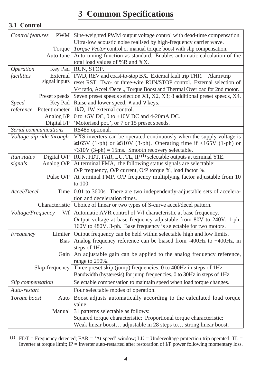### **3 Common Specifications**

### **3.1 Control**

| Control features<br><b>PWM</b>               | Sine-weighted PWM output voltage control with dead-time compensation.<br>Ultra-low acoustic noise realised by high-frequency carrier wave. |
|----------------------------------------------|--------------------------------------------------------------------------------------------------------------------------------------------|
| Torque                                       | Torque Vector control or manual torque boost with slip compensation.                                                                       |
| Auto-tune                                    | Auto tuning function as standard. Enables automatic calculation of the                                                                     |
|                                              | total load values of %R and %X.                                                                                                            |
| Operation<br>Key Pad                         | RUN, STOP.                                                                                                                                 |
| facilities<br>External                       | FWD, REV and coast-to-stop BX. External fault trip THR.<br>Alarm/trip                                                                      |
| signal inputs                                | reset RST. Two- or three-wire RUN/STOP control. External selection of                                                                      |
|                                              | V/f ratio, Accel./Decel., Torque Boost and Thermal Overload for 2nd motor.                                                                 |
| Preset speeds                                | Seven preset speeds selection X1, X2, X3; 8 additional preset speeds, X4.                                                                  |
| <b>Speed</b><br>Key Pad                      | Raise and lower speed, $\wedge$ and $\vee$ keys.                                                                                           |
| reference<br>Potentiometer                   | 1k $\Omega$ , 1W external control.                                                                                                         |
| Analog I/P                                   | 0 to +5V DC, 0 to +10V DC and 4-20mA DC.                                                                                                   |
| Digital I/P                                  | 'Motorised pot.', or 7 or 15 preset speeds.                                                                                                |
| Serial communications                        | RS485 optional.                                                                                                                            |
| Voltage-dip ride-through                     | VXS inverters can be operated continuously when the supply voltage is                                                                      |
|                                              | $\geq 165V$ (1-ph) or $\geq 310V$ (3-ph). Operating time if <165V (1-ph) or                                                                |
|                                              | $\langle 310V (3-ph) = 15ms$ . Smooth recovery selectable.                                                                                 |
| Digital O/P<br>Run status                    | RUN, FDT, FAR, LU, TL, IP <sup>(1)</sup> selectable outputs at terminal Y1E.                                                               |
| Analog O/P<br>signals                        | At terminal FMA, the following status signals are selectable:                                                                              |
|                                              | O/P frequency, O/P current, O/P torque %, load factor %.                                                                                   |
| Pulse O/P                                    | At terminal FMP, O/P frequency multiplying factor adjustable from 10                                                                       |
|                                              | to 100.                                                                                                                                    |
| Accel/Decel<br>Time                          | 0.01 to 3600s. There are two independently-adjustable sets of accelera-                                                                    |
|                                              | tion and deceleration times.                                                                                                               |
| Characteristic                               | Choice of linear or two types of S-curve accel/decel pattern.                                                                              |
| Voltage/Frequency<br>$\mathrm{V}/\mathrm{f}$ | Automatic AVR control of V/f characteristic at base frequency.                                                                             |
|                                              | Output voltage at base frequency adjustable from 80V to 240V, 1-ph;                                                                        |
|                                              | 160V to 480V, 3-ph. Base frequency is selectable for two motors.                                                                           |
| Limiter<br>Frequency                         | Output frequency can be held within selectable high and low limits.                                                                        |
| <b>Bias</b>                                  | Analog frequency reference can be biased from $-400$ Hz to $+400$ Hz, in                                                                   |
|                                              | steps of 1Hz.                                                                                                                              |
| Gain                                         | An adjustable gain can be applied to the analog frequency reference,                                                                       |
|                                              | range to 250%.                                                                                                                             |
| Skip-frequency                               | Three preset skip (jump) frequencies, 0 to 400Hz in steps of 1Hz.                                                                          |
|                                              | Bandwidth (hysteresis) for jump frequencies, 0 to 30Hz in steps of 1Hz.                                                                    |
| Slip compensation                            | Selectable compensation to maintain speed when load torque changes.                                                                        |
| Auto-restart                                 | Four selectable modes of operation.                                                                                                        |
| Torque boost<br>Auto                         | Boost adjusts automatically according to the calculated load torque                                                                        |
|                                              | value.                                                                                                                                     |
| Manual                                       | 31 patterns selectable as follows:                                                                                                         |
|                                              | Squared torque characteristic; Proportional torque characteristic;                                                                         |
|                                              | Weak linear boost adjustable in 28 steps to strong linear boost.                                                                           |

(1)  $FDT = Frequency detected; FAR = 'At speed' window; LU = Undervoltage protection trip operated; TL =$ Inverter at torque limit; IP = Inverter auto-restarted after restoration of I/P power following momentary loss.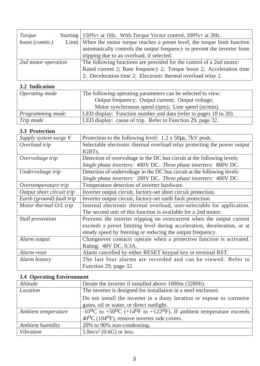| Torque              | Starting   $150\%$ + at 1Hz. With <i>Torque Vector</i> control, $200\%$ + at 3Hz. |  |  |  |  |
|---------------------|-----------------------------------------------------------------------------------|--|--|--|--|
| boost (contin.)     | Limit When the motor torque reaches a preset level, the torque limit function     |  |  |  |  |
|                     | automatically controls the output frequency to prevent the inverter from          |  |  |  |  |
|                     | tripping due to an overload, if selected.                                         |  |  |  |  |
| 2nd motor operation | The following functions are provided for the control of a 2nd motor:              |  |  |  |  |
|                     | Rated current 2; Base frequency 2; Torque boost 2; Acceleration time              |  |  |  |  |
|                     | 2; Deceleration time 2; Electronic thermal overload relay 2.                      |  |  |  |  |

### **3.2 Indication**

| Operating mode   | The following operating parameters can be selected to view:      |
|------------------|------------------------------------------------------------------|
|                  | Output frequency; Output current; Output voltage;                |
|                  | Motor synchronous speed (rpm); Line speed (m/min).               |
| Programming mode | LED display: Function number and data (refer to pages 18 to 20). |
| Trip mode        | LED display: cause of trip. Refer to Function 29, page 32.       |

### **3.3 Protection**

| Supply system surge V     | Protection to the following level: 1.2 x 50 $\mu$ s, 7kV peak.           |
|---------------------------|--------------------------------------------------------------------------|
| Overload trip             | Selectable electronic thermal overload relay protecting the power output |
|                           | IGBT <sub>s</sub>                                                        |
| Overvoltage trip          | Detection of overvoltage in the DC bus circuit at the following levels:  |
|                           | Single phase inverters: 400V DC. Three phase inverters: 800V DC.         |
| Undervoltage trip         | Detection of undervoltage in the DC bus circuit at the following levels: |
|                           | Single phase inverters: 200V DC. Three phase inverters: 400V DC.         |
| Overtemperature trip      | Temperature detection of inverter hardware.                              |
| Output short circuit trip | Inverter output circuit, factory-set short circuit protection.           |
| Earth (ground) fault trip | Inverter output circuit, factory-set earth fault protection.             |
| Motor thermal O/L trip    | Internal electronic thermal overload, user-selectable for application.   |
|                           | The second unit of this function is available for a 2nd motor.           |
| Stall prevention          | Prevents the inverter tripping on overcurrent when the output current    |
|                           | exceeds a preset limiting level during acceleration, deceleration, or at |
|                           | steady speed by freezing or reducing the output frequency.               |
| Alarm output              | Changeover contacts operate when a protective function is activated.     |
|                           | Rating: 48V DC, 0.3A.                                                    |
| Alarm reset               | Alarm cancelled by either RESET keypad key or terminal RST.              |
| Alarm history             | The last four alarms are recorded and can be viewed. Refer to            |
|                           | Function 29, page 32.                                                    |

### **3.4 Operating Environment**

| Altitude            | Derate the inverter if installed above 1000m (3280ft).                                    |
|---------------------|-------------------------------------------------------------------------------------------|
| Location            | The inverter is designed for installation in a steel enclosure.                           |
|                     | Do not install the inverter in a dusty location or expose to corrosive                    |
|                     | gases, oil or water, or direct sunlight.                                                  |
| Ambient temperature | $-10^{0}$ C to $+50^{0}$ C ( $+14^{0}$ F to $+122^{0}$ F). If ambient temperature exceeds |
|                     | $40^{\circ}$ C (104 $^{\circ}$ F), remove inverter side covers.                           |
| Ambient humidity    | 20% to 90% non-condensing.                                                                |
| Vibration           | $5.9 \text{m/s}^2$ (0.6G) or less.                                                        |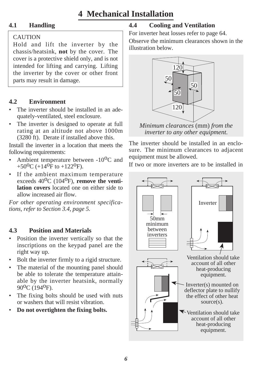### **4 Mechanical Installation**

### **4.1 Handling**

### CAUTION

Hold and lift the inverter by the chassis/heatsink, **not** by the cover. The cover is a protective shield only, and is not intended for lifting and carrying. Lifting the inverter by the cover or other front parts may result in damage.

### **4.2 Environment**

- The inverter should be installed in an adequately-ventilated, steel enclosure.
- The inverter is designed to operate at full rating at an altitude not above 1000m (3280 ft). Derate if installed above this.

Install the inverter in a location that meets the following requirements:

- Ambient temperature between -10<sup>o</sup>C and  $+50^{\circ}$ C ( $+14^{\circ}$ F to  $+122^{\circ}$ F).
- If the ambient maximum temperature exceeds 40<sup>o</sup>C (104<sup>o</sup>F), **remove the ventilation covers** located one on either side to allow increased air flow.

*For other operating environment specifications, refer to Section 3.4, page 5.*

### **4.3 Position and Materials**

- Position the inverter vertically so that the inscriptions on the keypad panel are the right way up.
- Bolt the inverter firmly to a rigid structure.
- The material of the mounting panel should be able to tolerate the temperature attainable by the inverter heatsink, normally 90<sup>o</sup>C (194<sup>o</sup>F).
- The fixing bolts should be used with nuts or washers that will resist vibration.
- **Do not overtighten the fixing bolts.**

### **4.4 Cooling and Ventilation**

For inverter heat losses refer to page 64. Observe the minimum clearances shown in the illustration below.



*Minimum clearances* (mm) *from the inverter to any other equipment.*

The inverter should be installed in an enclosure. The minimum clearances to adjacent equipment must be allowed.

If two or more inverters are to be installed in

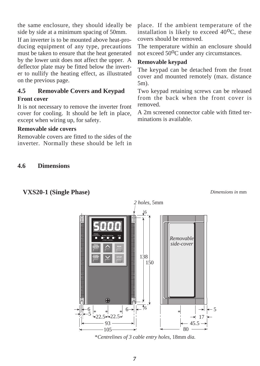the same enclosure, they should ideally be side by side at a minimum spacing of 50mm.

If an inverter is to be mounted above heat-producing equipment of any type, precautions must be taken to ensure that the heat generated by the lower unit does not affect the upper. A deflector plate may be fitted below the inverter to nullify the heating effect, as illustrated on the previous page.

### **4.5 Removable Covers and Keypad Front cover**

It is not necessary to remove the inverter front cover for cooling. It should be left in place, except when wiring up, for safety.

### **Removable side covers**

Removable covers are fitted to the sides of the inverter. Normally these should be left in place. If the ambient temperature of the installation is likely to exceed  $40^{\circ}$ C, these covers should be removed.

The temperature within an enclosure should not exceed 50<sup>o</sup>C under any circumstances.

#### **Removable keypad**

The keypad can be detached from the front cover and mounted remotely (max. distance 5m).

Two keypad retaining screws can be released from the back when the front cover is removed.

A 2m screened connector cable with fitted terminations is available.

#### **4.6 Dimensions**

### **VXS20-1 (Single Phase)**

*Dimensions in* mm



\**Centrelines of 3 cable entry holes,* 18mm *dia.*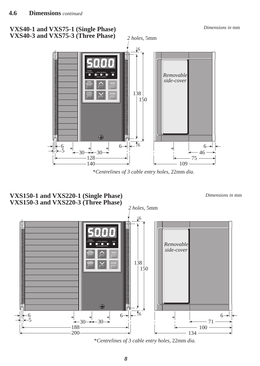

\**Centrelines of 3 cable entry holes,* 22mm *dia.*



*Dimensions in* mm



\**Centrelines of 3 cable entry holes,* 22mm *dia.*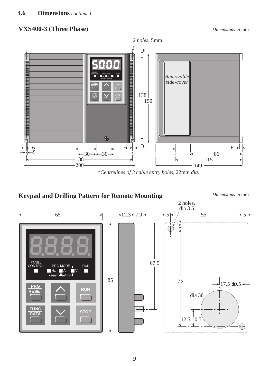### **VXS400-3 (Three Phase)**



\**Centrelines of 3 cable entry holes,* 22mm *dia.*

### **Keypad and Drilling Pattern for Remote Mounting** *Dimensions in* mm

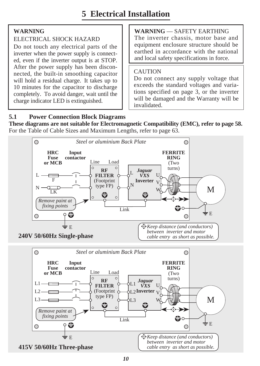### **WARNING**

### ELECTRICAL SHOCK HAZARD

Do not touch any electrical parts of the inverter when the power supply is connected, even if the inverter output is at STOP. After the power supply has been disconnected, the built-in smoothing capacitor will hold a residual charge. It takes up to 10 minutes for the capacitor to discharge completely. To avoid danger, wait until the charge indicator LED is extinguished.

**WARNING** — SAFETY EARTHING The inverter chassis, motor base and equipment enclosure structure should be earthed in accordance with the national and local safety specifications in force.

### CAUTION

Do not connect any supply voltage that exceeds the standard voltages and variations specified on page 3, or the inverter will be damaged and the Warranty will be invalidated.

### **5.1 Power Connection Block Diagrams**

**These diagrams are not suitable for Electromagnetic Compatibility (EMC), refer to page 58.** For the Table of Cable Sizes and Maximum Lengths, refer to page 63.

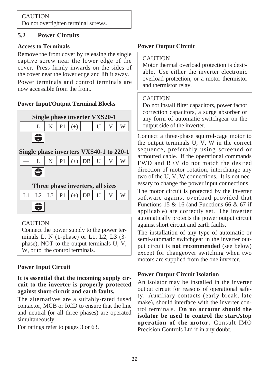## CAUTION

Do not overtighten terminal screws.

### **5.2 Power Circuits**

### **Access to Terminals**

Remove the front cover by releasing the single captive screw near the lower edge of the cover. Press firmly inwards on the sides of the cover near the lower edge and lift it away. Power terminals and control terminals are now accessible from the front.

### **Power Input/Output Terminal Blocks**



### **Single phase inverters VXS40-1 to 220-1**

|                         |  | $\mid L \mid N \mid P1 \mid (+)  DB \mid U \mid V \mid W$ |  |  |
|-------------------------|--|-----------------------------------------------------------|--|--|
| $\overline{\mathbf{e}}$ |  |                                                           |  |  |

—

### **Three phase inverters, all sizes**

| L1   L2   L3   P1   (+)   DB   U   V   W |  |  |  |  |
|------------------------------------------|--|--|--|--|
|                                          |  |  |  |  |

### CAUTION

Connect the power supply to the power terminals L, N (1-phase) or L1, L2, L3 (3 phase), NOT to the output terminals U, V, W, or to the control terminals.

### **Power Input Circuit**

### **It is essential that the incoming supply circuit to the inverter is properly protected against short-circuit and earth faults.**

The alternatives are a suitably-rated fused contactor, MCB or RCD to ensure that the line and neutral (or all three phases) are operated simultaneously.

For ratings refer to pages 3 or 63.

### **Power Output Circuit**

### **CAUTION**

Motor thermal overload protection is desirable. Use either the inverter electronic overload protection, or a motor thermistor and thermistor relay.

### CAUTION

Do not install filter capacitors, power factor correction capacitors, a surge absorber or any form of automatic switchgear on the output side of the inverter.

Connect a three-phase squirrel-cage motor to the output terminals U, V, W in the correct sequence, preferably using screened or armoured cable. If the operational commands FWD and REV do not match the desired direction of motor rotation, interchange any two of the U, V, W connections. It is not necessary to change the power input connections.

The motor circuit is protected by the inverter software against overload provided that Functions 15 & 16 (and Functions 66 & 67 if applicable) are correctly set. The inverter automatically protects the power output circuit against short circuit and earth faults.

The installation of any type of automatic or semi-automatic switchgear in the inverter output circuit is **not recommended** (see below) except for changeover switching when two motors are supplied from the one inverter.

### **Power Output Circuit Isolation**

An isolator may be installed in the inverter output circuit for reasons of operational safety. Auxiliary contacts (early break, late make), should interface with the inverter control terminals. **On no account should the isolator be used to control the start/stop operation of the motor.** Consult IMO Precision Controls Ltd if in any doubt.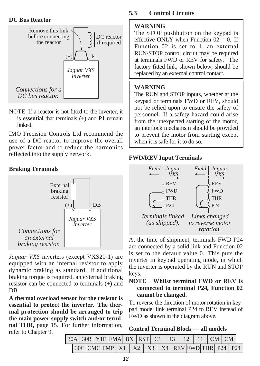#### **DC Bus Reactor**



NOTE If a reactor is not fitted to the inverter, it is **essential** that terminals (+) and P1 remain linked.

IMO Precision Controls Ltd recommend the use of a DC reactor to improve the overall power factor and to reduce the harmonics reflected into the supply network.

### **Braking Terminals**



*Jaguar VXS* inverters (except VXS20-1) are equipped with an internal resistor to apply dynamic braking as standard. If additional braking torque is required, an external braking resistor can be connected to terminals (+) and DB.

**A thermal overload sensor for the resistor is essential to protect the inverter. The thermal protection should be arranged to trip the main power supply switch and/or terminal THR,** page 15. For further information, refer to Chapter 9.

### **5.3 Control Circuits**

### **WARNING**

The STOP pushbutton on the keypad is effective ONLY when Function  $02 = 0$ . If Function 02 is set to 1, an external RUN/STOP control circuit may be required at terminals FWD or REV for safety. The factory-fitted link, shown below, should be *replaced by an external control contact. Jaguar VXS* replaced by an external control contact.

#### **WARNING**

The RUN and STOP inputs, whether at the keypad or terminals FWD or REV, should not be relied upon to ensure the safety of personnel. If a safety hazard could arise from the unexpected starting of the motor, an interlock mechanism should be provided to prevent the motor from starting except when it is safe for it to do so.

### **FWD/REV Input Terminals**



At the time of shipment, terminals FWD-P24 are connected by a solid link and Function 02 is set to the default value 0. This puts the inverter in keypad operating mode, in which the inverter is operated by the RUN and STOP keys.

### **NOTE Whilst terminal FWD or REV is connected to terminal P24, Function 02 cannot be changed.**

To reverse the direction of motor rotation in keypad mode, link terminal P24 to REV instead of FWD as shown in the diagram above.

|  |  | <b>Control Terminal Block — all models</b> |  |  |  |
|--|--|--------------------------------------------|--|--|--|
|--|--|--------------------------------------------|--|--|--|

|  |                                                                                               |  |  |  |  | $ 30A 30B $ Y1E FMA BX RST C1 13 12 11 CM CM |  |  |  |  |  |  |  |  |  |  |  |  |  |  |
|--|-----------------------------------------------------------------------------------------------|--|--|--|--|----------------------------------------------|--|--|--|--|--|--|--|--|--|--|--|--|--|--|
|  | $30C$ CMC FMP $\vert$ X1 $\vert$ X2 $\vert$ X3 $\vert$ X4 REV FWD THR $\vert$ P24 $\vert$ P24 |  |  |  |  |                                              |  |  |  |  |  |  |  |  |  |  |  |  |  |  |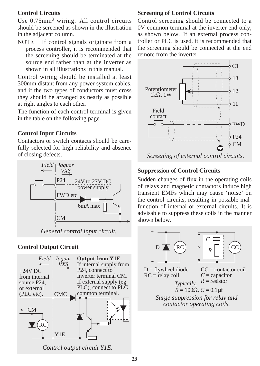### **Control Circuits**

Use 0.75mm2 wiring. All control circuits should be screened as shown in the illustration in the adjacent column.

NOTE If control signals originate from a process controller, it is recommended that the screening should be terminated at the source end rather than at the inverter as shown in all illustrations in this manual.

Control wiring should be installed at least 300mm distant from any power system cables, and if the two types of conductors must cross they should be arranged as nearly as possible at right angles to each other.

The function of each control terminal is given in the table on the following page.

### **Control Input Circuits**

Contactors or switch contacts should be carefully selected for high reliability and absence of closing defects.



### **Control Output Circuit**



### **Screening of Control Circuits**

Control screening should be connected to a 0V common terminal at the inverter end only, as shown below. If an external process controller or PLC is used, it is recommended that the screening should be connected at the end remote from the inverter.



### **Suppression of Control Circuits**

Sudden changes of flux in the operating coils of relays and magnetic contactors induce high transient EMFs which may cause 'noise' on the control circuits, resulting in possible malfunction of internal or external circuits. It is advisable to suppress these coils in the manner shown below.

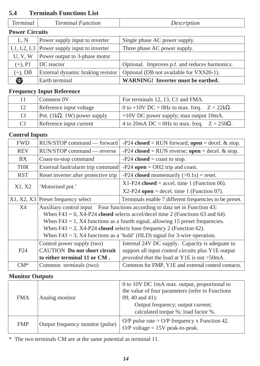### **5.4 Terminals Functions List**

| Terminal              | <b>Terminal Function</b>                  | Description                                    |
|-----------------------|-------------------------------------------|------------------------------------------------|
| <b>Power Circuits</b> |                                           |                                                |
| L.N                   | Power supply input to inverter            | Single phase AC power supply.                  |
|                       | L1, L2, L3 Power supply input to inverter | Three phase AC power supply.                   |
| U, V, W               | Power output to 3-phase motor             |                                                |
| $(+)$ , P1            | DC reactor                                | Optional. Improves p.f. and reduces harmonics. |
| $(+)$ , DB            | External dynamic braking resistor         | Optional (DB not available for VXS20-1).       |
| ⇔                     | Earth terminal                            | WARNING! Inverter must be earthed.             |

### **Frequency Input Reference**

| 11             | Common 0V                          | For terminals 12, 13, C1 and FMA.                  |
|----------------|------------------------------------|----------------------------------------------------|
| 12             | Reference input voltage            | 0 to +10V DC = 0Hz to max. freq. $Z = 22k\Omega$ . |
| 13             | Pot. $(1k\Omega, 1W)$ power supply | $+10V$ DC power supply; max output 10mA.           |
| C <sub>1</sub> | Reference input current            | 4 to 20mA DC = 0Hz to max. freq. $Z = 250\Omega$ . |

### **Control Inputs**

| <b>FWD</b>      | RUN/STOP command — forward                                                                   | $-P24$ closed = RUN forward; open = decel. & stop.                                 |  |
|-----------------|----------------------------------------------------------------------------------------------|------------------------------------------------------------------------------------|--|
| <b>REV</b>      | RUN/STOP command — reverse                                                                   | $-P24$ closed = RUN reverse; open = decel. & stop.                                 |  |
| BX.             | Coast-to-stop command                                                                        | $-P24$ closed = coast to stop.                                                     |  |
| <b>THR</b>      | External fault/alarm trip command                                                            | $-P24$ open = OH2 trip and coast.                                                  |  |
| <b>RST</b>      | Reset inverter after protective trip                                                         | -P24 closed momentarily $(>0.1s)$ = reset.                                         |  |
| X1, X2          | 'Motorised pot.'                                                                             | $X1-P24$ closed = accel. time 1 (Function 06).                                     |  |
|                 |                                                                                              | $X2-P24$ open = decel. time 1 (Function 07).                                       |  |
|                 | X1, X2, X3 Preset frequency select<br>Terminals enable 7 different frequencies to be preset. |                                                                                    |  |
| X4              |                                                                                              | Auxiliary control input Four functions according to data set in Function 43:       |  |
|                 |                                                                                              | When $F43 = 0$ , $X4-P24$ closed selects accel/decel time 2 (Functions 63 and 64). |  |
|                 |                                                                                              | When $F43 = 1$ , X4 functions as a fourth signal, allowing 15 preset frequencies.  |  |
|                 |                                                                                              | When $F43 = 2$ , X4-P24 closed selects base frequency 2 (Function 62).             |  |
|                 |                                                                                              | When $F43 = 3$ , X4 functions as a 'hold' (HLD) signal for 3-wire operation.       |  |
|                 | Control power supply (two)                                                                   | Internal 24V DC supply. Capacity is adequate to                                    |  |
| P <sub>24</sub> | <b>CAUTION</b> Do not short circuit                                                          | support all input control circuits plus Y1E output                                 |  |
|                 | to either terminal 11 or CM.                                                                 | provided that the load at Y1E is not >50mA.                                        |  |
| $CM^*$          | Common terminals (two)                                                                       | Common for FMP, Y1E and external control contacts.                                 |  |

### **Monitor Outputs**

| <b>FMA</b> | Analog monitor                   | 0 to 10V DC 1mA max. output, proportional to<br>the value of four parameters (refer to Functions<br>09, 40 and 41):<br>Output frequency; output current;<br>calculated torque %; load factor %. |
|------------|----------------------------------|-------------------------------------------------------------------------------------------------------------------------------------------------------------------------------------------------|
| <b>FMP</b> | Output frequency monitor (pulse) | O/P pulse rate = $O/P$ frequency x Function 42.<br>$O/P$ voltage = 15V peak-to-peak.                                                                                                            |

\* The two terminals CM are at the same potential as terminal 11.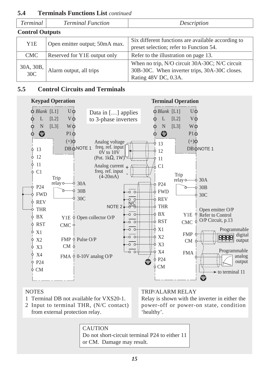| Terminal                     | <b>Terminal Function</b>       | Description                                                                                                             |  |
|------------------------------|--------------------------------|-------------------------------------------------------------------------------------------------------------------------|--|
| <b>Control Outputs</b>       |                                |                                                                                                                         |  |
| Y1E                          | Open emitter output; 50mA max. | Six different functions are available according to<br>preset selection; refer to Function 54.                           |  |
| <b>CMC</b>                   | Reserved for Y1E output only   | Refer to the illustration on page 13.                                                                                   |  |
| 30A, 30B,<br>30 <sup>C</sup> | Alarm output, all trips        | When no trip, N/O circuit 30A-30C; N/C circuit<br>30B-30C. When inverter trips, 30A-30C closes.<br>Rating 48V DC, 0.3A. |  |

### **5.4 Terminals Functions List** *continued*

### **5.5 Control Circuits and Terminals**



#### **NOTES**

- 1 Terminal DB not available for VXS20-1.
- 2 Input to terminal THR, (N/C contact) from external protection relay.

### TRIP/ALARM RELAY

Relay is shown with the inverter in either the power-off or power-on state, condition 'healthy'.

**CAUTION** Do not short-circuit terminal P24 to either 11 or CM. Damage may result.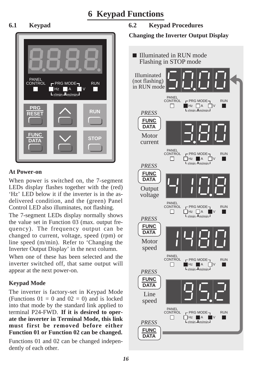### **6 Keypad Functions**



### **At Power-on**

When power is switched on, the 7-segment LEDs display flashes together with the (red) 'Hz' LED below it if the inverter is in the asdelivered condition, and the (green) Panel Control LED also illuminates, not flashing.

The 7-segment LEDs display normally shows the value set in Function 03 (max. output frequency). The frequency output can be changed to current, voltage, speed (rpm) or line speed (m/min). Refer to 'Changing the Inverter Output Display' in the next column.

When one of these has been selected and the inverter switched off, that same output will appear at the next power-on.

### **Keypad Mode**

The inverter is factory-set in Keypad Mode (Functions  $01 = 0$  and  $02 = 0$ ) and is locked into that mode by the standard link applied to terminal P24-FWD. **If it is desired to operate the inverter in Terminal Mode, this link must first be removed before either Function 01 or Function 02 can be changed.**

Functions 01 and 02 can be changed independently of each other.

### **6.1 Keypad 6.2 Keypad Procedures**

**Changing the Inverter Output Display**

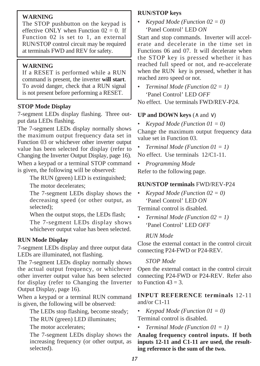### **WARNING**

The STOP pushbutton on the keypad is effective ONLY when Function  $02 = 0$ . If Function 02 is set to 1, an external RUN/STOP control circuit may be required at terminals FWD and REV for safety.

### **WARNING**

If a RESET is performed while a RUN command is present, the inverter **will start**. To avoid danger, check that a RUN signal is not present before performing a RESET.

### **STOP Mode Display**

7-segment LEDs display flashing. Three output data LEDs flashing.

The 7-segment LEDs display normally shows the maximum output frequency data set in Function 03 or whichever other inverter output value has been selected for display (refer to Changing the Inverter Output Display, page 16). When a keypad or a terminal STOP command is given, the following will be observed:

The RUN (green) LED is extinguished;

The motor decelerates;

The 7-segment LEDs display shows the decreasing speed (or other output, as selected);

When the output stops, the LEDs flash;

The 7-segment LEDs display shows whichever output value has been selected.

### **RUN Mode Display**

7-segment LEDs display and three output data LEDs are illuminated, not flashing.

The 7-segment LEDs display normally shows the actual output frequency, or whichever other inverter output value has been selected for display (refer to Changing the Inverter Output Display, page 16).

When a keypad or a terminal RUN command is given, the following will be observed:

The LEDs stop flashing, become steady;

The RUN (green) LED illuminates;

The motor accelerates;

The 7-segment LEDs display shows the increasing frequency (or other output, as selected).

### **RUN/STOP keys**

*• Keypad Mode (Function 02 = 0)* 'Panel Control' LED *ON*

Start and stop commands. Inverter will accelerate and decelerate in the time set in Functions 06 and 07. It will decelerate when the STOP key is pressed whether it has reached full speed or not, and re-accelerate when the RUN key is pressed, whether it has reached zero speed or not.

*• Terminal Mode (Function 02 = 1)* 'Panel Control' LED *OFF*

No effect. Use terminals FWD/REV-P24.

### **UP and DOWN keys** (∧ and ∨)

*• Keypad Mode (Function 01 = 0)*

Change the maximum output frequency data value set in Function 03.

*• Terminal Mode (Function 01 = 1)*

No effect. Use terminals 12/C1-11.

*• Programming Mode* Refer to the following page.

### **RUN/STOP terminals** FWD/REV-P24

*• Keypad Mode (Function 02 = 0)* 'Panel Control' LED *ON*

Terminal control is disabled.

*• Terminal Mode (Function 02 = 1)* 'Panel Control' LED *OFF*

### *RUN Mode*

Close the external contact in the control circuit connecting P24-FWD or P24-REV.

### *STOP Mode*

Open the external contact in the control circuit connecting P24-FWD or P24-REV. Refer also to Function  $43 = 3$ .

### **INPUT REFERENCE terminals** 12-11 and/or C1-11

*• Keypad Mode (Function 01 = 0)*

Terminal control is disabled.

*• Terminal Mode (Function 01 = 1)*

### **Analog frequency control inputs. If both inputs 12-11 and C1-11 are used, the resulting reference is the sum of the two.**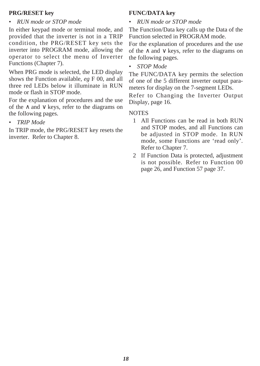### **PRG/RESET key**

#### *• RUN mode or STOP mode*

In either keypad mode or terminal mode, and provided that the inverter is not in a TRIP condition, the PRG/RESET key sets the inverter into PROGRAM mode, allowing the operator to select the menu of Inverter Functions (Chapter 7).

When PRG mode is selected, the LED display shows the Function available, *eg* F 00, and all three red LEDs below it illuminate in RUN mode or flash in STOP mode.

For the explanation of procedures and the use of the ∧ and ∨ keys, refer to the diagrams on the following pages.

*• TRIP Mode*

In TRIP mode, the PRG/RESET key resets the inverter. Refer to Chapter 8.

### **FUNC/DATA key**

*• RUN mode or STOP mode*

The Function/Data key calls up the Data of the Function selected in PROGRAM mode.

For the explanation of procedures and the use of the ∧ and ∨ keys, refer to the diagrams on the following pages.

*• STOP Mode*

The FUNC/DATA key permits the selection of one of the 5 different inverter output parameters for display on the 7-segment LEDs.

Refer to Changing the Inverter Output Display, page 16.

#### NOTES

- 1 All Functions can be read in both RUN and STOP modes, and all Functions can be adjusted in STOP mode. In RUN mode, some Functions are 'read only'. Refer to Chapter 7.
- 2 If Function Data is protected, adjustment is not possible. Refer to Function 00 page 26, and Function 57 page 37.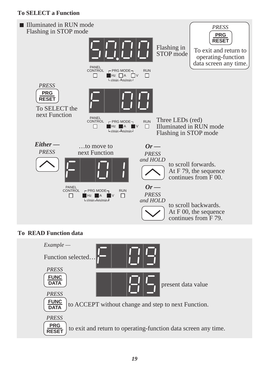### **To SELECT a Function**



### **To READ Function data**

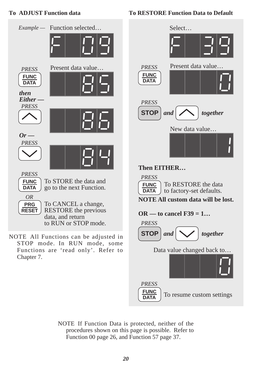### **To ADJUST Function data**



**To RESTORE Function Data to Default**

 $\frac{FUNC}{DATE}$  To resume custom settings

NOTE If Function Data is protected, neither of the procedures shown on this page is possible. Refer to Function 00 page 26, and Function 57 page 37.

**DATA** *PRESS*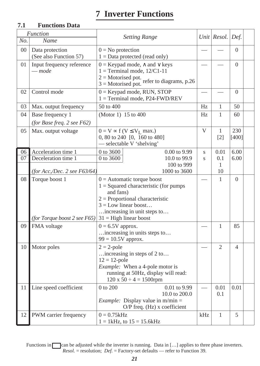## **7 Inverter Functions**

### **7.1 Functions Data**

|        | <b>Function</b>                                           | <b>Setting Range</b>                                                                                                                                                                                           |                         | Unit Resol.                       | Def.         |  |
|--------|-----------------------------------------------------------|----------------------------------------------------------------------------------------------------------------------------------------------------------------------------------------------------------------|-------------------------|-----------------------------------|--------------|--|
| No.    | Name                                                      |                                                                                                                                                                                                                |                         |                                   |              |  |
| $00\,$ | Data protection<br>(See also Function 57)                 | $0 = No$ protection<br>$1 = Data$ protected (read only)                                                                                                                                                        |                         |                                   | $\Omega$     |  |
| 01     | Input frequency reference<br>$\rule{0.15cm}{0.15mm}$ mode | $0 =$ Keypad mode, $\wedge$ and $\vee$ keys<br>$1 = Terminal mode, 12/C1-11$<br>$2 =$ Motorised pot.<br>$\frac{3 = \text{Motorised pot.}}{3 = \text{Motorised pot.}}$ refer to diagrams, p.26                  |                         |                                   | $\Omega$     |  |
| 02     | Control mode                                              | $0 =$ Keypad mode, RUN, STOP<br>$1 = Terminal mode, P24-FWD/REV$                                                                                                                                               |                         |                                   | $\Omega$     |  |
| 03     | Max. output frequency                                     | 50 to 400                                                                                                                                                                                                      | Hz                      | 1                                 | 50           |  |
| 04     | Base frequency 1<br>(for Base freq. 2 see $F62$ )         | (Motor 1) 15 to 400                                                                                                                                                                                            | Hz                      | $\mathbf{1}$                      | 60           |  |
| 05     | Max. output voltage                                       | $0 = V \propto f (V \le V_L \text{ max.})$<br>0, 80 to 240 [0, 160 to 480]<br>- selectable V 'shelving'                                                                                                        | V                       | $\mathbf{1}$<br>$\lceil 2 \rceil$ | 230<br>[400] |  |
| 06     | Acceleration time 1                                       | 0 to 3600<br>0.00 to 9.99                                                                                                                                                                                      | S                       | 0.01                              | 6.00         |  |
| 07     | Deceleration time 1                                       | 0 to 3600<br>10.0 to 99.9                                                                                                                                                                                      | $\overline{\mathbf{s}}$ | 0.1                               | 6.00         |  |
|        | (for Acc,/Dec. 2 see $F63/64$ )                           | 100 to 999<br>1000 to 3600                                                                                                                                                                                     |                         | 1<br>10                           |              |  |
| 08     | Torque boost 1<br>(for Torque boost 2 see F65)            | $0 =$ Automatic torque boost<br>$1 =$ Squared characteristic (for pumps<br>and fans)<br>$2$ = Proportional characteristic<br>$3 =$ Low linear boost<br>increasing in unit steps to<br>$31$ = High linear boost |                         | $\mathbf{1}$                      | $\Omega$     |  |
| 09     | FMA voltage                                               | $0 = 6.5V$ approx.<br>increasing in units steps to<br>$99 = 10.5V$ approx.                                                                                                                                     |                         | $\mathbf{1}$                      | 85           |  |
| 10     | Motor poles                                               | $2 = 2-pole$<br>increasing in steps of 2 to<br>$12 = 12$ -pole<br><i>Example:</i> When a 4-pole motor is<br>running at 50Hz, display will read:<br>$120 \times 50 \div 4 = 1500$ rpm                           |                         | 2                                 | 4            |  |
| 11     | Line speed coefficient                                    | 0 to 200<br>0.01 to 9.99<br>10.0 to 200.0<br><i>Example:</i> Display value in $m/min =$<br>$O/P$ freq. (Hz) x coefficient                                                                                      |                         | 0.01<br>0.1                       | 0.01         |  |
| 12     | PWM carrier frequency                                     | $0 = 0.75kHz$<br>$1 = 1$ kHz, to $15 = 15.6$ kHz                                                                                                                                                               | kHz                     | 1                                 | 5            |  |

Functions in can be adjusted while the inverter is running. Data in [...] applies to three phase inverters. *Resol.* = resolution; *Def.* = Factory-set defaults — refer to Function 39.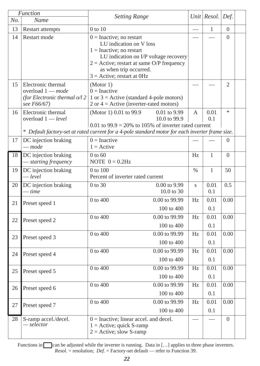|     | Function                                                                                  | <b>Setting Range</b>                                                                                                                                                                                                                   |                          | Unit   $Resol.$ | Def.           |  |
|-----|-------------------------------------------------------------------------------------------|----------------------------------------------------------------------------------------------------------------------------------------------------------------------------------------------------------------------------------------|--------------------------|-----------------|----------------|--|
| No. | Name                                                                                      |                                                                                                                                                                                                                                        |                          |                 |                |  |
| 13  | Restart attempts                                                                          | $0$ to $10$                                                                                                                                                                                                                            | $\overline{\phantom{0}}$ | $\mathbf{1}$    | $\Omega$       |  |
| 14  | Restart mode                                                                              | $0 = Inactive; no restart$<br>LU indication on V loss<br>$1 = Inactive$ ; no restart<br>LU indication on I/P voltage recovery<br>$2 =$ Active; restart at same O/P frequency<br>as when trip occurred.<br>$3 =$ Active; restart at OHz |                          |                 | $\Omega$       |  |
| 15  | Electronic thermal<br>overload $1$ – mode<br>(for Electronic thermal o/l 2<br>see F66/67) | (Motor 1)<br>$0 = Inactive$<br>1 or $3$ = Active (standard 4-pole motors)<br>$2$ or $4 =$ Active (inverter-rated motors)                                                                                                               |                          |                 | $\overline{2}$ |  |
| 16  | Electronic thermal<br>overload $1 - level$                                                | (Motor 1) 0.01 to 99.9<br>0.01 to 9.99<br>10.0 to 99.9                                                                                                                                                                                 | A                        | 0.01<br>0.1     | sk.            |  |
|     |                                                                                           | $0.01$ to $99.9 = 20\%$ to 105% of inverter rated current                                                                                                                                                                              |                          |                 |                |  |
|     |                                                                                           | * Default factory-set at rated current for a 4-pole standard motor for each inverter frame size.                                                                                                                                       |                          |                 |                |  |
| 17  | DC injection braking<br>$-$ mode                                                          | $0 = Inactive$<br>$1 =$ Active                                                                                                                                                                                                         |                          |                 | $\overline{0}$ |  |
| 18  | DC injection braking<br>- starting frequency                                              | $0$ to 60<br>NOTE $0 = 0.2$ Hz                                                                                                                                                                                                         | Hz.                      | $\mathbf{1}$    | $\Omega$       |  |
| 19  | DC injection braking<br>- level                                                           | $0$ to $100$<br>Percent of inverter rated current                                                                                                                                                                                      | $\%$                     | $\mathbf{1}$    | 50             |  |
| 20  | DC injection braking<br>$-time$                                                           | 0 to 30<br>0.00 to 9.99<br>10.0 to 30                                                                                                                                                                                                  | $\mathbf{s}$             | 0.01<br>0.1     | 0.5            |  |
| 21  | Preset speed 1                                                                            | 0 to 400<br>0.00 to 99.99<br>100 to 400                                                                                                                                                                                                | Hz                       | 0.01<br>0.1     | 0.00           |  |
| 22  | Preset speed 2                                                                            | $0$ to $400$<br>$0.00$ to 99.99<br>100 to 400                                                                                                                                                                                          | Hz                       | 0.01<br>0.1     | 0.00           |  |
| 23  | Preset speed 3                                                                            | 0 to 400<br>0.00 to 99.99<br>100 to 400                                                                                                                                                                                                | Hz                       | 0.01<br>0.1     | 0.00           |  |
| 24  | Preset speed 4                                                                            | 0.00 to 99.99<br>0 to 400<br>100 to 400                                                                                                                                                                                                | Hz                       | 0.01<br>0.1     | 0.00           |  |
| 25  | Preset speed 5                                                                            | $0$ to 400<br>$0.00$ to 99.99<br>100 to 400                                                                                                                                                                                            | Hz                       | 0.01<br>0.1     | 0.00           |  |
| 26  | Preset speed 6                                                                            | 0 to 400<br>0.00 to 99.99<br>100 to 400                                                                                                                                                                                                | Hz                       | 0.01<br>0.1     | 0.00           |  |
| 27  | Preset speed 7                                                                            | 0 to 400<br>0.00 to 99.99<br>100 to 400                                                                                                                                                                                                | Hz                       | 0.01<br>0.1     | 0.00           |  |
| 28  | S-ramp accel./decel.<br>$- selector$                                                      | $0 =$ Inactive: linear accel, and decel.<br>$1 =$ Active; quick S-ramp<br>$2 =$ Active; slow S-ramp                                                                                                                                    |                          |                 | $\Omega$       |  |

Functions in can be adjusted while the inverter is running. Data in [...] applies to three phase inverters. *Resol.* = resolution; *Def.* = Factory-set default — refer to Function 39.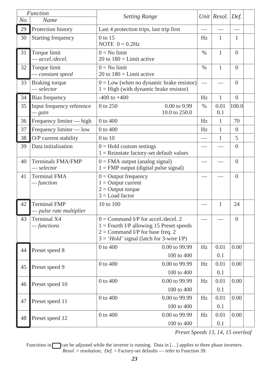| No.             | <b>Function</b><br>Name                      | <b>Setting Range</b>                                                                                                                                                    |               | Unit Resol.  | Def.           |
|-----------------|----------------------------------------------|-------------------------------------------------------------------------------------------------------------------------------------------------------------------------|---------------|--------------|----------------|
| 29              | Protection history                           | Last 4 protection trips, last trip first                                                                                                                                |               |              |                |
| 30              | Starting frequency                           | $0$ to 15<br>NOTE $0 = 0.2$ Hz                                                                                                                                          | Hz            | $\mathbf{1}$ | $\mathbf{1}$   |
| 31              | Torque limit<br>- accel./decel.              | $0 = No$ limit<br>20 to $180 =$ Limit active                                                                                                                            | $\frac{0}{0}$ | $\mathbf{1}$ | $\overline{0}$ |
| 32              | Torque limit<br>- constant speed             | $0 = No$ limit<br>20 to $180 =$ Limit active                                                                                                                            | $\frac{0}{0}$ | $\mathbf{1}$ | $\Omega$       |
| 33              | <b>Braking</b> torque<br>$-$ selector        | $0 = Low$ (when no dynamic brake resistor)<br>$1 =$ High (with dynamic brake resistor)                                                                                  |               |              | $\Omega$       |
| $\overline{34}$ | Bias frequency                               | $-400$ to $+400$                                                                                                                                                        | Hz            | $\mathbf{1}$ | $\Omega$       |
| 35              | Input frequency reference<br>$-$ gain        | $0$ to $250$<br>0.00 to 9.99<br>10.0 to 250.0                                                                                                                           | $\%$          | 0.01<br>0.1  | 100.0          |
| 36              | Frequency limiter - high                     | $0$ to $400$                                                                                                                                                            | Hz            | 1            | 70             |
| 37              | Frequency limiter — low                      | 0 to 400                                                                                                                                                                | Hz            | 1            | $\Omega$       |
| 38              | O/P current stability                        | $0$ to $10$                                                                                                                                                             |               | $\mathbf{1}$ | 5              |
| 39              | Data initialisation                          | $0 =$ Hold custom settings<br>$1 =$ Reinstate factory-set default values                                                                                                |               |              | $\Omega$       |
| 40              | Terminals FMA/FMP<br>$-$ selector            | $0 = FMA$ output (analog signal)<br>$1 = FMP$ output (digital pulse signal)                                                                                             |               |              | $\theta$       |
| 41              | <b>Terminal FMA</b><br>$-$ function          | $0 =$ Output frequency<br>$1 =$ Output current<br>$2 =$ Output torque<br>$3 =$ Load factor                                                                              |               |              | $\Omega$       |
| 42              | <b>Terminal FMP</b><br>pulse rate multiplier | 10 to 100                                                                                                                                                               |               | $\mathbf{1}$ | 24             |
| 43              | Terminal X4<br>$-$ functions                 | $0 =$ Command I/P for accel./decel. 2<br>$1 =$ Fourth I/P allowing 15 Preset speeds<br>$2 =$ Command I/P for base freq. 2<br>$3 = 'Hold'$ signal (latch for 3-wire I/P) |               |              | $\Omega$       |
| 44              | Preset speed 8                               | $0$ to $400$<br>$0.00$ to 99.99<br>100 to 400                                                                                                                           | Hz            | 0.01<br>0.1  | 0.00           |
| 45              | Preset speed 9                               | 0 to 400<br>0.00 to 99.99                                                                                                                                               | Hz            | 0.01         | 0.00           |
|                 |                                              | 100 to 400                                                                                                                                                              |               | 0.1          |                |
| 46              | Preset speed 10                              | 0 to 400<br>0.00 to 99.99<br>100 to 400                                                                                                                                 | Hz            | 0.01<br>0.1  | 0.00           |
|                 |                                              | 0 to 400<br>0.00 to 99.99                                                                                                                                               | Hz            | 0.01         | 0.00           |
| 47              | Preset speed 11                              | 100 to 400                                                                                                                                                              |               | 0.1          |                |
|                 |                                              | 0 to 400<br>0.00 to 99.99                                                                                                                                               | Hz            | 0.01         | 0.00           |
| 48              | Preset speed 12                              | 100 to 400                                                                                                                                                              |               | 0.1          |                |

*Preset Speeds 13, 14, 15 overleaf*

Functions in can be adjusted while the inverter is running. Data in [...] applies to three phase inverters. *Resol.* = resolution; *Def.* = Factory-set defaults — refer to Function 39.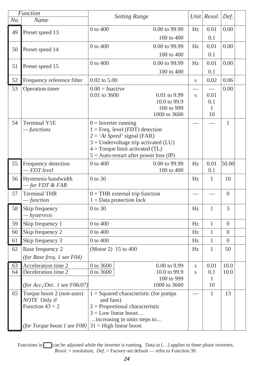|     | Function                                   | <b>Setting Range</b>   |                                                                               |                         | Unit Resol.         | Def.     |  |
|-----|--------------------------------------------|------------------------|-------------------------------------------------------------------------------|-------------------------|---------------------|----------|--|
| No. | Name                                       |                        |                                                                               |                         |                     |          |  |
| 49  | Preset speed 13                            | 0 to 400               | 0.00 to 99.99                                                                 | Hz                      | 0.01                | 0.00     |  |
|     |                                            |                        | 100 to 400                                                                    |                         | 0.1                 |          |  |
| 50  | Preset speed 14                            | 0 to 400               | 0.00 to 99.99                                                                 | Hz                      | 0.01                | 0.00     |  |
|     |                                            |                        | 100 to 400                                                                    |                         | 0.1                 |          |  |
| 51  | Preset speed 15                            | 0 to 400               | 0.00 to 99.99                                                                 | Hz                      | 0.01                | 0.00     |  |
|     |                                            |                        | 100 to 400                                                                    |                         | 0.1                 |          |  |
| 52  | Frequency reference filter                 | $0.02$ to $5.00$       |                                                                               | $\mathbf S$             | 0.02                | 0.06     |  |
| 53  | Operation timer                            | $0.00$ = Inactive      |                                                                               |                         |                     | 0.00     |  |
|     |                                            | 0.01 to 3600           | 0.01 to 9.99                                                                  | $\mathbf{s}$            | 0.01                |          |  |
|     |                                            |                        | 10.0 to 99.9<br>100 to 999                                                    |                         | 0.1<br>1            |          |  |
|     |                                            |                        | 1000 to 3600                                                                  |                         | 10                  |          |  |
| 54  | <b>Terminal Y1E</b>                        | $0 =$ Inverter running |                                                                               |                         |                     | 1        |  |
|     | —functions                                 |                        | $1 =$ Freq. level (FDT) detection                                             |                         |                     |          |  |
|     |                                            |                        | $2 = 'At Speed' signal (FAR)$                                                 |                         |                     |          |  |
|     |                                            |                        | $3 =$ Undervoltage trip activated (LU)                                        |                         |                     |          |  |
|     |                                            |                        | $4 = Torque limit activated (TL)$<br>$5 =$ Auto-restart after power loss (IP) |                         |                     |          |  |
| 55  | Frequency detection                        | 0 to 400               | 0.00 to 99.99                                                                 | Hz                      | 0.01                | 50.00    |  |
|     | $-FDT$ level                               |                        | 100 to 400                                                                    |                         | 0.1                 |          |  |
| 56  | Hysteresis bandwidth                       | 0 to 30                |                                                                               | Hz                      | $\mathbf{1}$        | 10       |  |
|     | $-$ for FDT & FAR                          |                        |                                                                               |                         |                     |          |  |
| 57  | <b>Terminal THR</b>                        |                        | $0 = THR$ external trip function                                              |                         |                     | $\Omega$ |  |
|     | — function                                 |                        | $1 = Data$ protection lock                                                    |                         |                     |          |  |
| 58  | Skip frequency                             | 0 to 30                |                                                                               | Hz                      | $\mathbf{1}$        | 3        |  |
|     | - hysteresis                               |                        |                                                                               |                         |                     |          |  |
| 59  | Skip frequency 1                           | 0 to 400               |                                                                               | Hz                      | $\mathbf{1}$        | $\Omega$ |  |
| 60  | Skip frequency 2                           | 0 to 400               |                                                                               | Hz                      | $\mathbf{1}$        | $\Omega$ |  |
| 61  | Skip frequency 3                           | 0 to 400               |                                                                               | Hz                      | $\mathbf{1}$        | $\Omega$ |  |
| 62  | Base frequency 2                           | (Motor 2) 15 to 400    |                                                                               | Hz                      | $\mathbf{1}$        | 50       |  |
|     | (for Base freq. 1 see F04)                 |                        |                                                                               |                         |                     |          |  |
| 63  | Acceleration time 2<br>Deceleration time 2 | 0 to 3600              | $0.00$ to 9.99                                                                | S                       | 0.01                | 10.0     |  |
| 64  |                                            | 0 to 3600              | 10.0 to 99.9<br>100 to 999                                                    | $\overline{\mathbf{s}}$ | 0.1<br>$\mathbf{1}$ | 10.0     |  |
|     | (for Acc,/Dec. 1 see F06/07)               |                        | 1000 to 3600                                                                  |                         | 10                  |          |  |
| 65  | Torque boost 2 (non-auto)                  |                        | $1 =$ Squared characteristic (for pumps                                       |                         | $\mathbf{1}$        | 13       |  |
|     | NOTE Only if                               | and fans)              |                                                                               |                         |                     |          |  |
|     | Function $43 = 2$                          |                        | $2$ = Proportional characteristic                                             |                         |                     |          |  |
|     |                                            |                        | $3 =$ Low linear boost                                                        |                         |                     |          |  |
|     | (for Torque boost 1 see F08)               |                        | increasing in units steps to                                                  |                         |                     |          |  |
|     |                                            |                        | $31$ = High linear boost                                                      |                         |                     |          |  |

Functions in can be adjusted while the inverter is running. Data in [...] applies to three phase inverters. *Resol.* = resolution; *Def.* = Factory-set default — refer to Function 39.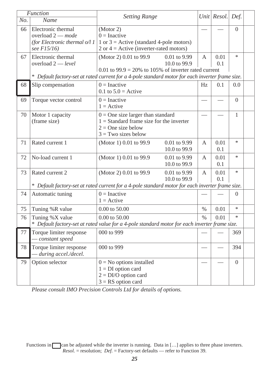| No. | <b>Function</b><br>Name                                                                    | <b>Setting Range</b>                                                                                                                                       |               | Unit Resol. | Def.           |  |
|-----|--------------------------------------------------------------------------------------------|------------------------------------------------------------------------------------------------------------------------------------------------------------|---------------|-------------|----------------|--|
| 66  | Electronic thermal<br>overload $2$ – mode<br>(for Electronic thermal $o/11$<br>see F15/16) | (Motor 2)<br>$0 = Inactive$<br>1 or $3$ = Active (standard 4-pole motors)<br>$2$ or $4 =$ Active (inverter-rated motors)                                   |               |             | $\overline{0}$ |  |
| 67  | Electronic thermal<br>overload $2 - level$                                                 | $0.01$ to 9.99<br>(Motor 2) 0.01 to 99.9<br>10.0 to 99.9<br>$0.01$ to 99.9 = 20% to 105% of inverter rated current                                         | A             | 0.01<br>0.1 | $\frac{1}{26}$ |  |
| 68  | Slip compensation                                                                          | * Default factory-set at rated current for a 4-pole standard motor for each inverter frame size.<br>$0 = Inactive$<br>$0.1$ to $5.0$ = Active              | Hz            | 0.1         | 0.0            |  |
| 69  | Torque vector control                                                                      | $0 = Inactive$<br>$1 =$ Active                                                                                                                             |               |             | $\Omega$       |  |
| 70  | Motor 1 capacity<br>(frame size)                                                           | $0 =$ One size larger than standard<br>$1 =$ Standard frame size for the inverter<br>$2 =$ One size below<br>$3 = Two$ sizes below                         |               |             | 1              |  |
| 71  | Rated current 1                                                                            | 0.01 to 9.99<br>(Motor 1) 0.01 to 99.9<br>10.0 to 99.9                                                                                                     | A             | 0.01<br>0.1 | *              |  |
| 72  | No-load current 1                                                                          | 0.01 to 9.99<br>(Motor 1) 0.01 to 99.9<br>10.0 to 99.9                                                                                                     | А             | 0.01<br>0.1 | $\ast$         |  |
| 73  | Rated current 2                                                                            | (Motor 2) 0.01 to 99.9<br>0.01 to 9.99<br>10.0 to 99.9<br>* Default factory-set at rated current for a 4-pole standard motor for each inverter frame size. | А             | 0.01<br>0.1 | ×.             |  |
| 74  | Automatic tuning                                                                           | $0 = Inactive$<br>$1 =$ Active                                                                                                                             |               |             | $\Omega$       |  |
| 75  | Tuning %R value                                                                            | $0.00$ to $50.00$                                                                                                                                          | $\%$          | 0.01        | $\ast$         |  |
| 76  | Tuning %X value                                                                            | 0.00 to 50.00<br>* Default factory-set at rated value for a 4-pole standard motor for each inverter frame size.                                            | $\frac{0}{0}$ | 0.01        | $\frac{1}{2}$  |  |
| 77  | Torque limiter response<br>constant speed                                                  | 000 to 999                                                                                                                                                 |               |             | 369            |  |
| 78  | Torque limiter response<br>during accel./decel.                                            | 000 to 999                                                                                                                                                 |               |             | 394            |  |
| 79  | Option selector                                                                            | $0 = No$ options installed<br>$1 = DI$ option card<br>$2 = DI/O$ option card<br>$3 = RS$ option card                                                       |               |             | $\overline{0}$ |  |

*Please consult IMO Precision Controls Ltd for details of options.*

Functions in can be adjusted while the inverter is running. Data in [...] applies to three phase inverters. *Resol.* = resolution; *Def.* = Factory-set defaults — refer to Function 39.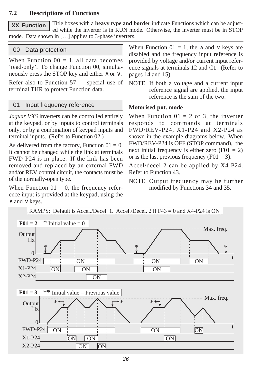### **7.2 Descriptions of Functions**

Title boxes with a **heavy type and border** indicate Functions which can be adjusted while the inverter is in RUN mode. Otherwise, the inverter must be in STOP mode. Data shown in […] applies to 3-phase inverters. **XX Function**

### 00 Data protection

When Function  $00 = 1$ , all data becomes 'read-only'. To change Function 00, simultaneously press the STOP key and either ∧ or ∨.

Refer also to Function 57 — special use of terminal THR to protect Function data.

### 01 Input frequency reference

*Jaguar VXS* inverters can be controlled entirely at the keypad, or by inputs to control terminals only, or by a combination of keypad inputs and terminal inputs. (Refer to Function 02.)

As delivered from the factory, Function  $01 = 0$ . It cannot be changed while the link at terminals FWD-P24 is in place. If the link has been removed and replaced by an external FWD and/or REV control circuit, the contacts must be of the normally-open type.

When Function  $01 = 0$ , the frequency reference input is provided at the keypad, using the ∧ and ∨ keys.

When Function  $01 = 1$ , the  $\land$  and  $\lor$  keys are disabled and the frequency input reference is provided by voltage and/or current input reference signals at terminals 12 and C1. (Refer to pages 14 and 15).

NOTE If both a voltage and a current input reference signal are applied, the input reference is the sum of the two.

#### **Motorised pot. mode**

When Function  $01 = 2$  or 3, the inverter responds to commands at terminals FWD/REV-P24, X1-P24 and X2-P24 as shown in the example diagrams below. When FWD/REV-P24 is OFF (STOP command), the next initial frequency is either zero  $(F01 = 2)$ or is the last previous frequency  $(F01 = 3)$ .

Accel/decel 2 can be applied by X4-P24. Refer to Function 43.

NOTE Output frequency may be further modified by Functions 34 and 35.

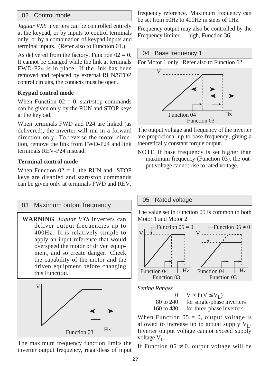### 02 Control mode

*Jaguar VXS* inverters can be controlled entirely at the keypad, or by inputs to control terminals only, or by a combination of keypad inputs and terminal inputs. (Refer also to Function 01.)

As delivered from the factory, Function  $02 = 0$ . It cannot be changed while the link at terminals FWD-P24 is in place. If the link has been removed and replaced by external RUN/STOP control circuits, the contacts must be open.

### **Keypad control mode**

When Function  $02 = 0$ , start/stop commands can be given only by the RUN and STOP keys at the keypad.

When terminals FWD and P24 are linked (as delivered), the inverter will run in a forward direction only. To reverse the motor direction, remove the link from FWD-P24 and link terminals REV-P24 instead.

### **Terminal control mode**

When Function  $02 = 1$ , the RUN and STOP keys are disabled and start/stop commands can be given only at terminals FWD and REV.



The maximum frequency function limits the inverter output frequency, regardless of input

frequency reference. Maximum frequency can be set from 50Hz to 400Hz in steps of 1Hz.

Frequency output may also be controlled by the Frequency limiter — high, Function 36.

### 04 Base frequency 1

For Motor 1 only. Refer also to Function 62.



The output voltage and frequency of the inverter are proportional up to base frequency, giving a theoretically constant torque output.

NOTE If base frequency is set higher than maximum frequency (Function 03), the output voltage cannot rise to rated voltage.

### 05 Rated voltage

The value set in Function 05 is common to both Motor 1 and Motor 2.



 $0 \quad V \propto f (V \le V_L)$ <br>80 to 240 for single-phase for single-phase inverters 160 to 480 for three-phase inverters

When Function  $05 = 0$ , output voltage is allowed to increase up to actual supply  $V_L$ . Inverter output voltage cannot exceed supply voltage  $V_L$ .

If Function  $05 \neq 0$ , output voltage will be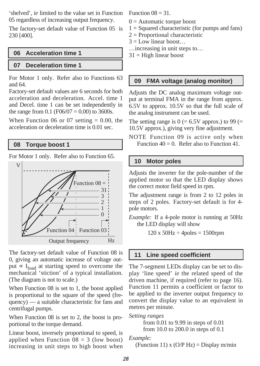'shelved', *ie* limited to the value set in Function 05 regardless of increasing output frequency.

The factory-set default value of Function 05 is 230 [400].

### **06 Acceleration time 1**

#### **07 Deceleration time 1**

For Motor 1 only. Refer also to Functions 63 and 64.

Factory-set default values are 6 seconds for both acceleration and deceleration. Accel. time 1 and Decel. time 1 can be set independently in the range from 0.1 (F06/07 = 0.00) to 3600s.

When Function 06 or 07 setting  $= 0.00$ , the acceleration or deceleration time is 0.01 sec.

#### **08 Torque boost 1**

For Motor 1 only. Refer also to Function 65.



The factory-set default value of Function 08 is 0, giving an automatic increase of voltage output  $\propto I_{load}$  at starting speed to overcome the mechanical 'stiction' of a typical installation. (The diagram is not to scale.)

When Function 08 is set to 1, the boost applied is proportional to the square of the speed (frequency) — a suitable characteristic for fans and centrifugal pumps.

When Function 08 is set to 2, the boost is proportional to the torque demand.

Linear boost, inversely proportional to speed, is applied when Function  $08 = 3$  (low boost) increasing in unit steps to high boost when Function  $08 = 31$ .

- $0 =$  Automatic torque boost
- $1 =$  Squared characteristic (for pumps and fans)
- 2 = Proportional characteristic
- $3 =$ Low linear boost...

…increasing in unit steps to…

 $31$  = High linear boost

#### **09 FMA voltage (analog monitor)**

Adjusts the DC analog maximum voltage output at terminal FMA in the range from approx. 6.5V to approx. 10.5V so that the full scale of the analog instrument can be used.

The setting range is  $0 (= 6.5V$  approx.) to 99  $(=$ 10.5V approx.), giving very fine adjustment.

NOTE Function 09 is active only when Function  $40 = 0$ . Refer also to Function 41.

#### **10 Motor poles**

Adjusts the inverter for the pole-number of the applied motor so that the LED display shows the correct motor field speed in rpm.

The adjustment range is from 2 to 12 poles in steps of 2 poles. Factory-set default is for 4 pole motors.

*Example:* If a 4-pole motor is running at 50Hz the LED display will show

 $120 \times 50Hz \div 4poles = 1500$ rpm

#### **11 Line speed coefficient**

The 7-segment LEDs display can be set to display 'line speed' *ie* the related speed of the driven machine, if required (refer to page 16). Function 11 permits a coefficient or factor to be applied to the inverter output frequency to convert the display value to an equivalent in metres per minute.

*Setting ranges* from 0.01 to 9.99 in steps of 0.01

from 10.0 to 200.0 in steps of 0.1

*Example:*

(Function 11)  $x (O/P Hz) =$ Display m/min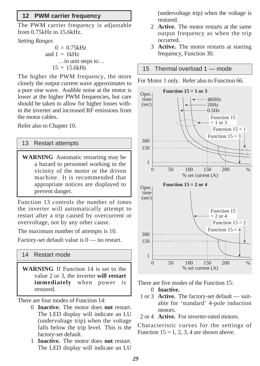### **12 PWM carrier frequency**

The PWM carrier frequency is adjustable from 0.75kHz to 15.6kHz.

*Setting Ranges*

 $0 = 0.75kHz$ and  $1 = 1kHz$ …in unit steps to…  $15 = 15.6kHz$ 

The higher the PWM frequency, the more closely the output current wave approximates to a pure sine wave. Audible noise at the motor is lower at the higher PWM frequencies, but care should be taken to allow for higher losses within the inverter and increased RF emissions from the motor cables.

Refer also to Chapter 10.

#### 13 Restart attempts

**WARNING** Automatic restarting may be a hazard to personnel working in the vicinity of the motor or the driven machine. It is recommended that appropriate notices are displayed to prevent danger.

Function 13 controls the number of times the inverter will automatically attempt to restart after a trip caused by overcurrent or overvoltage, not by any other cause.

The maximum number of attempts is 10.

Factory-set default value is  $0$  — no restart.

#### 14 Restart mode

**WARNING** If Function 14 is set to the value 2 or 3, the inverter **will restart immediately** when power is restored.

There are four modes of Function 14:

- 0 **Inactive.** The motor does **not** restart. The LED display will indicate an LU (undervoltage trip) when the voltage falls below the trip level. This is the factory-set default.
- 1 **Inactive.** The motor does **not** restart. The LED display will indicate an LU

(undervoltage trip) when the voltage is restored.

- 2 **Active.** The motor restarts at the same output frequency as when the trip occurred.
- 3 **Active.** The motor restarts at starting frequency, Function 30.

#### 15 Thermal overload 1 — mode





There are five modes of the Function 15:

- 0 **Inactive.**
- 1 or 3 **Active.** The factory-set default suitable for 'standard' 4-pole induction motors.
- 2 or 4 **Active.** For inverter-rated motors.

Characteristic curves for the settings of Function  $15 = 1, 2, 3, 4$  are shown above.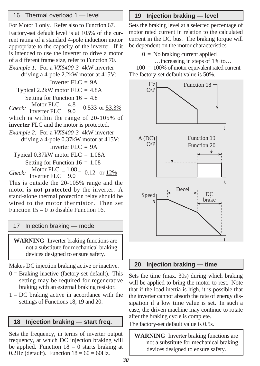### 16 Thermal overload 1 — level

For Motor 1 only. Refer also to Function 67. Factory-set default level is at 105% of the current rating of a standard 4-pole induction motor appropriate to the capacity of the inverter. If it is intended to use the inverter to drive a motor of a different frame size, refer to Function 70.

*Example 1:* For a *VXS400-3* 4kW inverter driving a 4-pole 2.2kW motor at 415V: Inverter FLC = 9A Typical 2.2kW motor FLC = 4.8A Setting for Function  $16 = 4.8$ *Check:*  $\frac{\text{Motor FLC}}{\text{Inverter FLC}} = \frac{4.8}{9.0} = 0.533 \text{ or } \frac{53.3\%}{2.0}$ which is within the range of 20-105% of **inverter** FLC and the motor is protected. *Example 2:* For a *VXS400-3* 4kW inverter driving a 4-pole 0.37kW motor at 415V: Inverter  $FLC = 9A$ Typical 0.37kW motor FLC = 1.08A Setting for Function  $16 = 1.08$ *Check:*  $\frac{\text{Motor FLC}}{\text{Inverter FLC}} = \frac{1.08}{9.0} = 0.12$  or  $\frac{12\%}{9.0}$ This is outside the 20-105% range and the motor **is not protected** by the inverter. A stand-alone thermal protection relay should be wired to the motor thermistor. Then set

Function  $15 = 0$  to disable Function 16.

#### 17 Injection braking — mode

**WARNING** Inverter braking functions are not a substitute for mechanical braking devices designed to ensure safety.

Makes DC injection braking active or inactive.

- $0 =$  Braking inactive (factory-set default). This setting may be required for regenerative braking with an external braking resistor.
- $1 = DC$  braking active in accordance with the settings of Functions 18, 19 and 20.

### **18 Injection braking — start freq.** The factory-set default value is 0.5s.

Sets the frequency, in terms of inverter output frequency, at which DC injection braking will be applied. Function  $18 = 0$  starts braking at 0.2Hz (default). Function  $18 = 60 = 60$ Hz.

### **19 Injection braking — level**

Sets the braking level at a selected percentage of motor rated current in relation to the calculated current in the DC bus. The braking torque will be dependent on the motor characteristics.

 $0 =$  No braking current applied

…increasing in steps of 1% to…

100 = 100% of motor equivalent rated current. The factory-set default value is 50%.



#### **20 Injection braking — time**

Sets the time (max. 30s) during which braking will be applied to bring the motor to rest. Note that if the load inertia is high, it is possible that the inverter cannot absorb the rate of energy dissipation if a low time value is set. In such a case, the driven machine may continue to rotate after the braking cycle is complete.

**WARNING** Inverter braking functions are not a substitute for mechanical braking devices designed to ensure safety.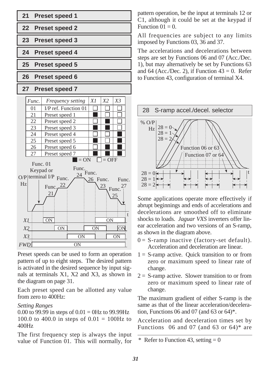

Preset speeds can be used to form an operation pattern of up to eight steps. The desired pattern is activated in the desired sequence by input signals at terminals X1, X2 and X3, as shown in the diagram on page 31.

Each preset speed can be allotted any value from zero to 400Hz:

### *Setting Ranges*

0.00 to 99.99 in steps of  $0.01 = 0$ Hz to 99.99Hz 100.0 to 400.0 in steps of  $0.01 = 100$ Hz to 400Hz

The first frequency step is always the input value of Function 01. This will normally, for pattern operation, be the input at terminals 12 or C1, although it could be set at the keypad if Function  $01 = 0$ .

All frequencies are subject to any limits imposed by Functions 03, 36 and 37.

The accelerations and decelerations between steps are set by Functions 06 and 07 (Acc./Dec. 1), but may alternatively be set by Functions 63 and 64 (Acc./Dec. 2), if Function  $43 = 0$ . Refer to Function 43, configuration of terminal X4.



Some applications operate more effectively if abrupt beginnings and ends of accelerations and decelerations are smoothed off to eliminate shocks to loads. *Jaguar VXS* inverters offer linear acceleration and two versions of an S-ramp, as shown in the diagram above.

- $0 = S$ -ramp inactive (factory-set default). Acceleration and deceleration are linear.
- $1 = S$ -ramp active. Quick transition to or from zero or maximum speed to linear rate of change.
- $2 =$  S-ramp active. Slower transition to or from zero or maximum speed to linear rate of change.

The maximum gradient of either S-ramp is the same as that of the linear acceleration/deceleration, Functions 06 and 07 (and 63 or 64)\*.

Acceleration and deceleration times set by Functions  $06$  and  $07$  (and  $63$  or  $64$ )\* are

Refer to Function 43, setting  $= 0$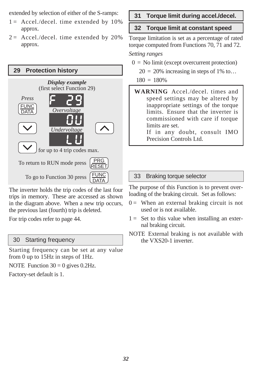extended by selection of either of the S-ramps:

- $1 =$  Accel./decel. time extended by 10% approx.
- $2 =$  Accel./decel. time extended by 20% approx.



The inverter holds the trip codes of the last four trips in memory. These are accessed as shown in the diagram above. When a new trip occurs, the previous last (fourth) trip is deleted.

For trip codes refer to page 44.

### 30 Starting frequency

Starting frequency can be set at any value from 0 up to 15Hz in steps of 1Hz.

NOTE Function  $30 = 0$  gives 0.2Hz.

Factory-set default is 1.

### **31 Torque limit during accel./decel.**

### **32 Torque limit at constant speed**

Torque limitation is set as a percentage of rated torque computed from Functions 70, 71 and 72.

#### *Setting ranges*

- $0 =$  No limit (except overcurrent protection)
	- $20 = 20\%$  increasing in steps of 1% to...

 $180 = 180%$ 

**WARNING** Accel./decel. times and speed settings may be altered by inappropriate settings of the torque limits. Ensure that the inverter is commissioned with care if torque limits are set.

If in any doubt, consult IMO Precision Controls Ltd.

### 33 Braking torque selector

The purpose of this Function is to prevent overloading of the braking circuit. Set as follows:

- $0 =$  When an external braking circuit is not used or is not available.
- $1 =$  Set to this value when installing an external braking circuit.
- NOTE External braking is not available with the VXS20-1 inverter.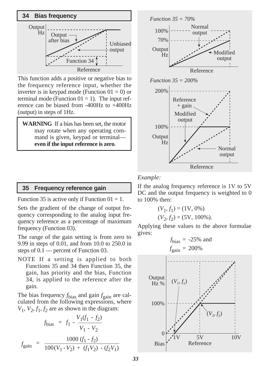

This function adds a positive or negative bias to the frequency reference input, whether the inverter is in keypad mode (Function  $01 = 0$ ) or terminal mode (Function  $01 = 1$ ). The input reference can be biased from -400Hz to +400Hz (output) in steps of 1Hz.

**WARNING** If a bias has been set, the motor may rotate when any operating command is given, keypad or terminal **even if the input reference is zero**.



### **35 Frequency reference gain**

Function 35 is active only if Function  $01 = 1$ .

Sets the gradient of the change of output frequency corresponding to the analog input frequency reference as a percentage of maximum frequency (Function 03).

The range of the gain setting is from zero to 9.99 in steps of 0.01, and from 10.0 to 250.0 in steps of 0.1 — percent of Function 03.

NOTE If a setting is applied to both Functions 35 and 34 then Function 35, the gain, has priority and the bias, Function 34, is applied to the reference after the gain.

The bias frequency  $f_{bias}$  and gain  $f_{gain}$  are calculated from the following expressions, where  $V_1$ ,  $V_2$ ,  $f_1$ ,  $f_2$  are as shown in the diagram:

$$
f_{bias} = f_1 - \frac{V_1(f_1 - f_2)}{V_1 - V_2}
$$

$$
f_{gain} = \frac{1000 (f_1 - f_2)}{100 (V_1 - V_2) + (f_1 V_2) - (f_2 V_1)}
$$

#### *Example:*

If the analog frequency reference is 1V to 5V DC and the output frequency is weighted to 0 to 100% then:

$$
(V_1, f_1) = (1V, 0\%)
$$
  

$$
(V_2, f_2) = (5V, 100\%).
$$

Applying these values to the above formulae gives:

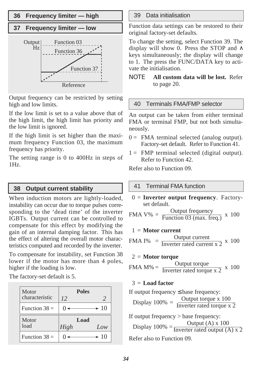### **36 Frequency limiter — high**

#### **37 Frequency limiter — low**



Output frequency can be restricted by setting high and low limits.

If the low limit is set to a value above that of the high limit, the high limit has priority and the low limit is ignored.

If the high limit is set higher than the maximum frequency Function 03, the maximum frequency has priority.

The setting range is 0 to 400Hz in steps of 1Hz.

#### **38 Output current stability**

When induction motors are lightly-loaded, instability can occur due to torque pulses corresponding to the 'dead time' of the inverter IGBTs. Output current can be controlled to compensate for this effect by modifying the gain of an internal damping factor. This has the effect of altering the overall motor characteristics computed and recorded by the inverter.

To compensate for instability, set Function 38 lower if the motor has more than 4 poles, higher if the loading is low.

The factory-set default is 5.

| Motor<br>characteristic | <b>Poles</b><br>12 | $\mathcal{L}$    |
|-------------------------|--------------------|------------------|
|                         |                    |                  |
| Function $38 =$         |                    | $\rightarrow 10$ |
|                         |                    |                  |
| Motor                   | Load               |                  |
| load                    | High               | Low              |

#### 39 Data initialisation

Function data settings can be restored to their original factory-set defaults.

To change the setting, select Function 39. The display will show 0. Press the STOP and  $\land$ keys simultaneously; the display will change to 1. The press the FUNC/DATA key to activate the initialisation.

### ΝΟΤΕ **All custom data will be lost.** Refer to page 20.

#### 40 Terminals FMA/FMP selector

An output can be taken from either terminal FMA or terminal FMP, but not both simultaneously.

- $0 =$  FMA terminal selected (analog output). Factory-set default. Refer to Function 41.
- 1 = FMP terminal selected (digital output). Refer to Function 42.

Refer also to Function 09.

### 41 Terminal FMA function

0 = **Inverter output frequency**. Factoryset default.

$$
FMA V\% = \frac{Output frequency}{Function 03 (max. freq.)} \times 100
$$

$$
1 =
$$
 Motor current

$$
FMA I\% = \frac{Output \ current}{Inverter \ rated current \ x \ 2} \ x \ 100
$$

#### 2 = **Motor torque**

FMA M% = 
$$
\frac{\text{Output torque}}{\text{Inverter rated torque x 2}} \times 100
$$

#### 3 = **Load factor**

If output frequency 
$$
\leq
$$
 base frequency:  
Display 100% = Output torque x 100  
Inverseer rated torque x 2

If output frequency > base frequency: Display 100% =  $\frac{\text{Output (A) x 100}}{\text{Inverter rated output (A) x 2}}$ Refer also to Function 09.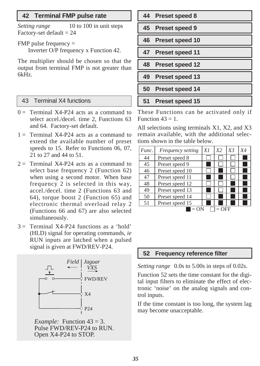### **42 Terminal FMP pulse rate**

*Setting range* 10 to 100 in unit steps Factory-set default  $= 24$ 

FMP pulse frequency =

Inverter O/P frequency x Function 42.

The multiplier should be chosen so that the output from terminal FMP is not greater than 6kHz.

### 43 Terminal X4 functions

- $0 =$  Terminal X4-P24 acts as a command to select accel./decel. time 2, Functions 63 and 64. Factory-set default.
- $1 =$  Terminal X4-P24 acts as a command to extend the available number of preset speeds to 15. Refer to Functions 06, 07, 21 to 27 and 44 to 51.
- $2 =$  Terminal X4-P24 acts as a command to select base frequency 2 (Function 62) when using a second motor. When base frequency 2 is selected in this way, accel./decel. time 2 (Functions 63 and 64), torque boost 2 (Function 65) and electronic thermal overload relay 2 (Functions 66 and 67) are also selected simultaneously.
- $3 =$  Terminal X4-P24 functions as a 'hold' (HLD) signal for operating commands, *ie* RUN inputs are latched when a pulsed signal is given at FWD/REV-P24.



*Example:* Function 43 = 3. Pulse FWD/REV-P24 to RUN. Open X4-P24 to STOP.

| 44 Preset speed 8  |
|--------------------|
| 45 Preset speed 9  |
| 46 Preset speed 10 |
| 47 Preset speed 11 |
| 48 Preset speed 12 |
| 49 Preset speed 13 |
|                    |
| 50 Preset speed 14 |

These Functions can be activated only if Function  $43 = 1$ .

All selections using terminals X1, X2, and X3 remain available, with the additional selections shown in the table below.

| Func. | Frequency setting | X1 | X <sub>2</sub> | X <sub>3</sub> | X4 |
|-------|-------------------|----|----------------|----------------|----|
| 44    | Preset speed 8    |    |                |                |    |
| 45    | Preset speed 9    |    |                |                |    |
| 46    | Preset speed 10   |    |                |                |    |
| 47    | Preset speed 11   |    |                |                |    |
| 48    | Preset speed 12   |    |                |                |    |
| 49    | Preset speed 13   |    |                |                |    |
| 50    | Preset speed 14   |    |                |                |    |
| 51    | Preset speed 15   |    |                |                |    |
|       |                   |    | OFF            |                |    |

### **52 Frequency reference filter**

*Setting range* 0.0s to 5.00s in steps of 0.02s.

Function 52 sets the time constant for the digital input filters to eliminate the effect of electronic 'noise' on the analog signals and control inputs.

If the time constant is too long, the system lag may become unacceptable.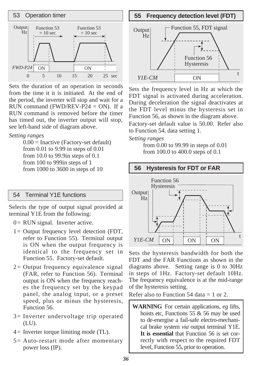

Sets the duration of an operation in seconds from the time it it is initiated. At the end of the period, the inverter will stop and wait for a RUN command (FWD/REV-P24  $=$  ON). If a RUN command is removed before the timer has timed out, the inverter output will stop, see left-hand side of diagram above.

#### *Setting ranges*

 $0.00$  = Inactive (Factory-set default) from 0.01 to 9.99 in steps of 0.01 from 10.0 to 99.9in steps of 0.1 from 100 to 999in steps of 1 from 1000 to 3600 in steps of 10

### 54 Terminal Y1E functions

Selects the type of output signal provided at terminal Y1E from the following:

 $0 = RUN$  signal. Inverter active.

- $1 =$  Output frequency level detection (FDT, refer to Function 55). Terminal output is ON when the output frequency is identical to the frequency set in Function 55. Factory-set default.
- 2= Output frequency equivalence signal (FAR, refer to Function 56). Terminal output is ON when the frequency reaches the frequency set by the keypad panel, the analog input, or a preset speed, plus or minus the hysteresis, Function 56.
- 3= Inverter undervoltage trip operated (LU).
- $4 =$  Inverter torque limiting mode (TL).
- 5= Auto-restart mode after momentary power loss (IP).



Sets the frequency level in Hz at which the FDT signal is activated during acceleration. During deceleration the signal deactivates at the FDT level minus the hysteresis set in Function 56, as shown in the diagram above.

Factory-set default value is 50.00. Refer also to Function 54, data setting 1.

#### *Setting ranges*

from 0.00 to 99.99 in steps of 0.01 from 100.0 to 400.0 steps of 0.1



Sets the hysteresis bandwidth for both the FDT and the FAR Functions as shown in the diagrams above. Setting range is 0 to 30Hz in steps of 1Hz. Factory-set default 10Hz. The frequency equivalence is at the mid-range of the hysteresis setting.

Refer also to Function 54 data  $= 1$  or 2.

**WARNING** For certain applications, *eg* lifts, hoists etc, Functions 55 & 56 may be used to de-energise a fail-safe electro-mechanical brake system *via* output terminal Y1E. **It is essential** that Function 56 is set correctly with respect to the required FDT level, Function 55, prior to operation.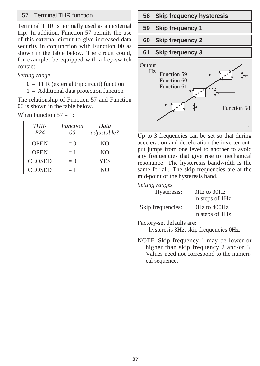Terminal THR is normally used as an external trip. In addition, Function 57 permits the use of this external circuit to give increased data security in conjunction with Function 00 as shown in the table below. The circuit could, for example, be equipped with a key-switch contact.

#### *Setting range*

- $0 = THR$  (external trip circuit) function
- $1 =$  Additional data protection function

The relationship of Function 57 and Function 00 is shown in the table below.

When Function  $57 = 1$ :

| THR-<br>P24   | <b>Function</b><br>00 | Data<br>adjustable? |
|---------------|-----------------------|---------------------|
| <b>OPEN</b>   | $= 0$                 | N <sub>O</sub>      |
| <b>OPEN</b>   | $=1$                  | N <sub>O</sub>      |
| <b>CLOSED</b> | $= 0$                 | <b>YES</b>          |
| <b>CLOSED</b> | $=1$                  | N <sub>O</sub>      |



Up to 3 frequencies can be set so that during acceleration and deceleration the inverter output jumps from one level to another to avoid any frequencies that give rise to mechanical resonance. The hysteresis bandwidth is the same for all. The skip frequencies are at the mid-point of the hysteresis band.

*Setting ranges*

| Hysteresis:       | 0Hz to 30Hz<br>in steps of 1Hz  |
|-------------------|---------------------------------|
| Skip frequencies: | 0Hz to 400Hz<br>in steps of 1Hz |

Factory-set defaults are:

hysteresis 3Hz, skip frequencies 0Hz.

NOTE Skip frequency 1 may be lower or higher than skip frequency 2 and/or 3. Values need not correspond to the numerical sequence.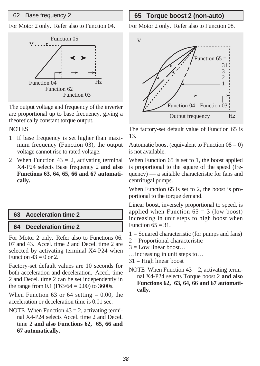For Motor 2 only. Refer also to Function 04.



The output voltage and frequency of the inverter are proportional up to base frequency, giving a theoretically constant torque output.

#### **NOTES**

- 1 If base frequency is set higher than maximum frequency (Function 03), the output voltage cannot rise to rated voltage.
- 2 When Function  $43 = 2$ , activating terminal X4-P24 selects Base frequency 2 **and also Functions 63, 64, 65, 66 and 67 automatically.**

### **63 Acceleration time 2**

### **64 Deceleration time 2**

For Motor 2 only. Refer also to Functions 06. 07 and 43. Accel. time 2 and Decel. time 2 are selected by activating terminal X4-P24 when Function  $43 = 0$  or 2.

Factory-set default values are 10 seconds for both acceleration and deceleration. Accel. time 2 and Decel. time 2 can be set independently in the range from 0.1 (F63/64 = 0.00) to 3600s.

When Function 63 or 64 setting  $= 0.00$ , the acceleration or deceleration time is 0.01 sec.

NOTE When Function  $43 = 2$ , activating terminal X4-P24 selects Accel. time 2 and Decel. time 2 **and also Functions 62, 65, 66 and 67 automatically.**

### 62 Base frequency 2 **65 Torque boost 2 (non-auto)**

For Motor 2 only. Refer also to Function 08.



The factory-set default value of Function 65 is 13.

Automatic boost (equivalent to Function  $08 = 0$ ) is not available.

When Function 65 is set to 1, the boost applied is proportional to the square of the speed (frequency) — a suitable characteristic for fans and centrifugal pumps.

When Function 65 is set to 2, the boost is proportional to the torque demand.

Linear boost, inversely proportional to speed, is applied when Function  $65 = 3$  (low boost) increasing in unit steps to high boost when Function  $65 = 31$ .

- 1 = Squared characteristic (for pumps and fans)
- $2$  = Proportional characteristic
- $3 =$ Low linear boost...
- …increasing in unit steps to…
- $31$  = High linear boost
- NOTE When Function  $43 = 2$ , activating terminal X4-P24 selects Torque boost 2 **and also Functions 62, 63, 64, 66 and 67 automatically.**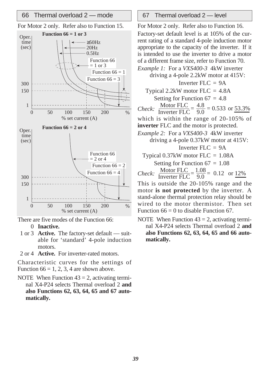### 66 Thermal overload  $2$  — mode  $\vert$  67 Thermal overload  $2$  — level





There are five modes of the Function 66:

- 0 **Inactive.**
- 1 or 3 **Active.** The factory-set default suitable for 'standard' 4-pole induction motors.
- 2 or 4 **Active.** For inverter-rated motors.

Characteristic curves for the settings of Function  $66 = 1, 2, 3, 4$  are shown above.

NOTE When Function  $43 = 2$ , activating terminal X4-P24 selects Thermal overload 2 **and also Functions 62, 63, 64, 65 and 67 automatically.**

For Motor 2 only. Refer also to Function 16. Factory-set default level is at 105% of the current rating of a standard 4-pole induction motor appropriate to the capacity of the inverter. If it is intended to use the inverter to drive a motor of a different frame size, refer to Function 70. *Example 1:* For a *VXS400-3* 4kW inverter driving a 4-pole 2.2kW motor at 415V: Inverter  $FLC = 9A$ Typical  $2.2$ kW motor FLC =  $4.8$ A Setting for Function  $67 = 4.8$ *Check:*  $\frac{\text{Motor FLC}}{\text{Inverse FLC}} = \frac{4.8}{9.0} = 0.533 \text{ or } \frac{53.3\%}{2.0}$ which is within the range of 20-105% of **inverter** FLC and the motor is protected. *Example 2:* For a *VXS400-3* 4kW inverter driving a 4-pole 0.37kW motor at 415V: Inverter  $FI.C = 9A$ Typical 0.37kW motor FLC = 1.08A Setting for Function  $67 = 1.08$ *Check:*  $\frac{\text{Motor FLC}}{\text{Inverter FLC}} = \frac{1.08}{9.0} = 0.12$  or  $\frac{12\%}{9.0}$ 

This is outside the 20-105% range and the motor **is not protected** by the inverter. A stand-alone thermal protection relay should be wired to the motor thermistor. Then set Function  $66 = 0$  to disable Function 67.

NOTE When Function  $43 = 2$ , activating terminal X4-P24 selects Thermal overload 2 **and also Functions 62, 63, 64, 65 and 66 automatically.**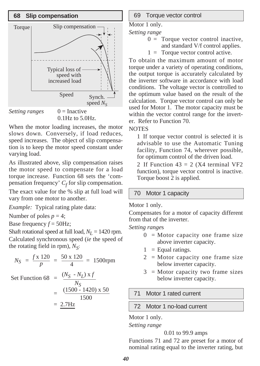



When the motor loading increases, the motor slows down. Conversely, if load reduces, speed increases. The object of slip compensation is to keep the motor speed constant under varying load.

As illustrated above, slip compensation raises the motor speed to compensate for a load torque increase. Function 68 sets the 'compensation frequency'  $C_f$  for slip compensation. The exact value for the % slip at full load will vary from one motor to another.

*Example:* Typical rating plate data:

Number of poles  $p = 4$ ;

Base frequency  $f = 50$ Hz;

Shaft rotational speed at full load,  $N_L$  = 1420 rpm. Calculated synchronous speed (*ie* the speed of the rotating field in rpm),  $N<sub>S</sub>$ :

$$
N_S = \frac{f \times 120}{p} = \frac{50 \times 120}{4} = 1500 \text{rpm}
$$

Set Function 68 =  $(N_S - N_L) x f$ 

$$
= \frac{N_S}{\frac{(1500 - 1420) \times 50}{1500}} = \frac{2.7 \text{Hz}}{}
$$

#### 69 Torque vector control

Motor 1 only.

*Setting range*

- $0 =$  Torque vector control inactive,
	- and standard V/f control applies.
- $1 =$  Torque vector control active.

To obtain the maximum amount of motor torque under a variety of operating conditions, the output torque is accurately calculated by the inverter software in accordance with load conditions. The voltage vector is controlled to the optimum value based on the result of the calculation. Torque vector control can only be used for Motor 1. The motor capacity must be within the vector control range for the inverter. Refer to Function 70.

### **NOTES**

1 If torque vector control is selected it is advisable to use the Automatic Tuning facility, Function 74, wherever possible, for optimum control of the driven load.

2 If Function  $43 = 2$  (X4 terminal VF2 function), torque vector control is inactive. Torque boost 2 is applied.

### 70 Motor 1 capacity

Motor 1 only.

Compensates for a motor of capacity different from that of the inverter.

*Setting range*s

- $0 =$ Motor capacity one frame size above inverter capacity.
- $1 =$  Equal ratings.
- $2 =$ Motor capacity one frame size below inverter capacity.
- $3 =$ Motor capacity two frame sizes below inverter capacity.

71 Motor 1 rated current

### 72 Motor 1 no-load current

Motor 1 only.

*Setting range*

#### 0.01 to 99.9 amps

Functions 71 and 72 are preset for a motor of nominal rating equal to the inverter rating, but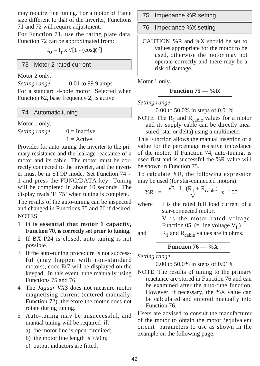may require fine tuning. For a motor of frame size different to that of the inverter, Functions 71 and 72 will require adjustment.

For Function 71, use the rating plate data. Function 72 can be approximated from:

 $I<sub>O</sub> = I<sub>r</sub>$  x  $\sqrt{1-(cos\phi)^2}$ ]

### 73 Motor 2 rated current

Motor 2 only.

*Setting range* 0.01 to 99.9 amps For a standard 4-pole motor. Selected when Function 62, base frequency 2, is active.

### 74 Automatic tuning

Motor 1 only.

*Setting range*  $0 = \text{Inactive}$  $1 =$ Active

Provides for auto-tuning the inverter to the primary resistance and the leakage reactance of a motor and its cable. The motor must be correctly connected to the inverter, and the inverter must be in STOP mode. Set Function 74 = 1 and press the FUNC/DATA key. Tuning will be completed in about 10 seconds. The display reads 'F 75' when tuning is complete.

The results of the auto-tuning can be inspected and changed in Functions 75 and 76 if desired. NOTES

- 1 **It is essential that motor 1 capacity, Function 70, is correctly set prior to tuning.**
- 2 If BX-P24 is closed, auto-tuning is not possible.
- 3 If the auto-tuning procedure is not successful (may happen with non-standard motors), code Er7 will be displayed on the keypad. In this event, tune manually using Functions 75 and 76.
- 4 The *Jaguar VXS* does not measure motor magnetising current (entered manually, Function 72), therefore the motor does not rotate during tuning.
- 5 Auto-tuning may be unsuccessful, and manual tuning will be required if:
	- a) the motor line is open-circuited;
	- b) the motor line length is  $>50$ m;
	- c) output inductors are fitted.

75 Impedance %R setting

76 Impedance %X setting

CAUTION %R and %X should be set to values appropriate for the motor to be used, otherwise the motor may not operate correctly and there may be a risk of damage.

Motor 1 only.

Function 
$$
75 - %R
$$

*Setting range*

0.00 to 50.0% in steps of 0.01%

NOTE The  $R_1$  and  $R_{cable}$  values for a motor and its supply cable can be directly measured (star or delta) using a multimeter.

This Function allows the manual insertion of a value for the percentage resistive impedance of the motor. If Function 74, auto-tuning, is used first and is successful the %R value will be shown in Function 75.

To calculate %R, the following expression may be used (for star-connected motors):

$$
\% \, R = \frac{\sqrt{3} \cdot I \cdot (R_1 + R_{\text{cable}})}{V} \times 100
$$

where I is the rated full load current of a star-connected motor,

> V is the motor rated voltage, Function 05, (= line voltage  $V_I$ )

and  $R_1$  and  $R_{\text{cable}}$  values are in ohms.

**Function 76 — %X**

*Setting range*

0.00 to 50.0% in steps of 0.01%

NOTE The results of tuning to the primary reactance are stored in Function 76 and can be examined after the auto-tune function. However, if necessary, the %X value can be calculated and entered manually into Function 76.

Users are advised to consult the manufacturer of the motor to obtain the motor 'equivalent circuit' parameters to use as shown in the example on the following page.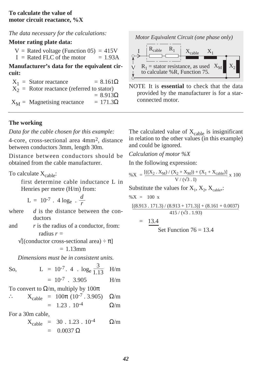### **To calculate the value of motor circuit reactance, %X**

*The data necessary for the calculations:*

### **Motor rating plate data:**

 $V =$  Rated voltage (Function 05) = 415V

 $I =$  Rated FLC of the motor  $= 1.93A$ 

**Manufacturer's data for the equivalent circuit:**

 $X_1$  = Stator reactance = 8.161 $\Omega$  $X<sub>2</sub>$  = Rotor reactance (referred to stator)  $= 8.913\Omega$  $X_M$  = Magnetising reactance = 171.3 $\Omega$ 

### **The working**

*Data for the cable chosen for this example:*

4-core, cross-sectional area 4mm2, distance between conductors 3mm, length 30m.

Distance between conductors should be obtained from the cable manufacturer.

To calculate  $X_{\text{cable}}$ :

first determine cable inductance L in Henries per metre (H/m) from:

$$
L = 10^{-7} \cdot 4 \log_e \cdot \frac{d}{r}
$$

where *d* is the distance between the conductors

and *r* is the radius of a conductor, from: radius *r* =

 $\sqrt{[{\rm (conductor cross-sectional area)} \div \pi]}$  $= 1.13$ mm

*Dimensions must be in consistent units.*

So, 
$$
L = 10^{-7} \cdot 4 \cdot \log_e \frac{3}{1.13}
$$

 $= 10^{-7}$  . 3.905 H/m

To convert to  $\Omega/m$ , multiply by  $100\pi$ 

$$
\therefore X_{\text{cable}} = 100\pi (10^{-7} \cdot 3.905) \quad Ω/m
$$
  
= 1.23 \cdot 10^{-4} \quad Ω/m

For a 30m cable,

$$
X_{\text{cable}} = 30 . 1.23 . 10^{-4} \qquad \Omega/m
$$
  
= 0.0037  $\Omega$ 

*Motor Equivalent Circuit (one phase only)*



NOTE It is **essential** to check that the data provided by the manufacturer is for a starconnected motor.

The calculated value of  $X_{\text{cable}}$  is insignificant in relation to the other values (in this example) and could be ignored.

*Calculation of motor %X*

In the following expression:

$$
\%X = \frac{[((X_2 \cdot X_M) / (X_2 + X_M)) + (X_1 + X_{cable})]}{V / (\sqrt{3} \cdot I)} \times 100
$$

Substitute the values for  $X_1, X_2, X_{\text{cable}}$ .

$$
\%X = 100 \text{ x}
$$

$$
\frac{[(8.913\ .\ 171.3)\ / \ (8.913+171.3)]+(8.161+0.0037)}{415\ / \ (\sqrt{3}\ .\ 1.93)}
$$

$$
= 13.4
$$

Set Function 
$$
76 = 13.4
$$

 $H/m$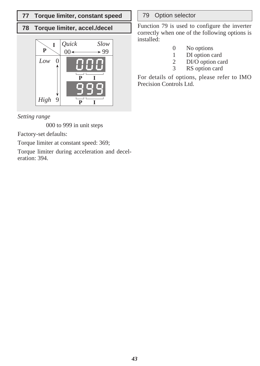### **77 Torque limiter, constant speed** | 79 Option selector

### **78 Torque limiter, accel./decel**



*Setting range*

000 to 999 in unit steps

Factory-set defaults:

Torque limiter at constant speed: 369;

Torque limiter during acceleration and deceleration: 394.

Function 79 is used to configure the inverter correctly when one of the following options is installed:

- 0 No options
- 1 DI option card<br>2 DI/O option ca
- $\frac{2}{3}$  DI/O option card
	- RS option card

For details of options, please refer to IMO Precision Controls Ltd.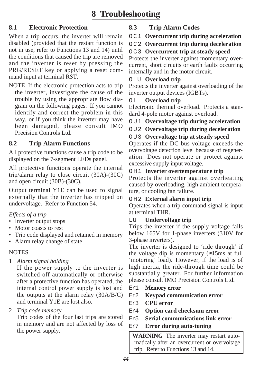### **8.1 Electronic Protection**

When a trip occurs, the inverter will remain disabled (provided that the restart function is not in use, refer to Functions 13 and 14) until the conditions that caused the trip are removed and the inverter is reset by pressing the PRG/RESET key or applying a reset command input at terminal RST.

NOTE If the electronic protection acts to trip the inverter, investigate the cause of the trouble by using the appropriate flow diagram on the following pages. If you cannot identify and correct the problem in this way, or if you think the inverter may have been damaged, please consult IMO Precision Controls Ltd.

### **8.2 Trip Alarm Functions**

All protective functions cause a trip code to be displayed on the 7-segment LEDs panel.

All protective functions operate the internal trip/alarm relay to close circuit (30A)-(30C) and open circuit (30B)-(30C).

Output terminal Y1E can be used to signal externally that the inverter has tripped on undervoltage. Refer to Function 54.

### *Effects of a trip*

- Inverter output stops
- Motor coasts to rest
- Trip code displayed and retained in memory
- Alarm relay change of state

### **NOTES**

1 *Alarm signal holding*

If the power supply to the inverter is switched off automatically or otherwise after a protective function has operated, the internal control power supply is lost and the outputs at the alarm relay (30A/B/C) and terminal Y1E are lost also.

2 *Trip code memory*

Trip codes of the four last trips are stored in memory and are not affected by loss of the power supply.

### **8.3 Trip Alarm Codes**

- OC1 **Overcurrent trip during acceleration**
- OC2 **Overcurrent trip during deceleration**

### OC3 **Overcurrent trip at steady speed**

Protects the inverter against momentary overcurrent, short circuits or earth faults occurring internally and in the motor circuit.

### OLU **Overload trip**

Protects the inverter against overloading of the inverter output devices (IGBTs).

### OL **Overload trip**

Electronic thermal overload. Protects a standard 4-pole motor against overload.

OU1 **Overvoltage trip during acceleration**

### OU2 **Overvoltage trip during deceleration**

### OU3 **Overvoltage trip at steady speed**

Operates if the DC bus voltage exceeds the overvoltage detection level because of regeneration. Does not operate or protect against excessive supply input voltage.

### OH1 **Inverter overtemperature trip**

Protects the inverter against overheating caused by overloading, high ambient temperature, or cooling fan failure.

### OH2 **External alarm input trip**

Operates when a trip command signal is input at terminal THR.

### LU **Undervoltage trip**

Trips the inverter if the supply voltage falls below 165V for 1-phase inverters (310V for 3-phase inverters).

The inverter is designed to 'ride through' if the voltage dip is momentary (≤15ms at full 'motoring' load). However, if the load is of high inertia, the ride-through time could be substantially greater. For further information please consult IMO Precision Controls Ltd.

- Er1 **Memory error**
- Er2 **Keypad communication error**
- Er3 **CPU error**
- Er4 **Option card checksum error**
- Er5 **Serial communications link error**
- Er7 **Error during auto-tuning**

**WARNING** The inverter may restart automatically after an overcurrent or overvoltage trip. Refer to Functions 13 and 14.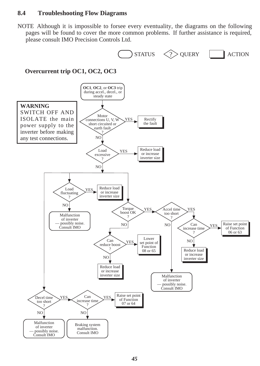### **8.4 Troubleshooting Flow Diagrams**

NOTE Although it is impossible to forsee every eventuality, the diagrams on the following pages will be found to cover the more common problems. If further assistance is required, please consult IMO Precision Controls Ltd.

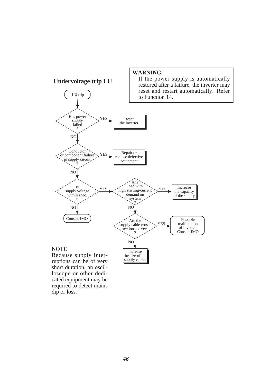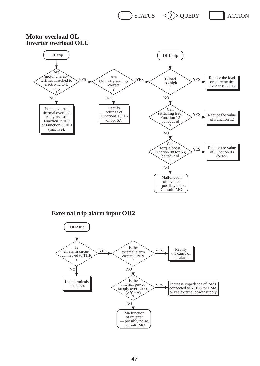

**Motor overload OL Inverter overload OLU**



#### **External trip alarm input OH2**

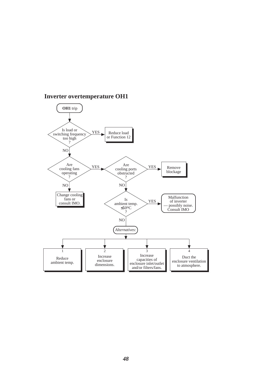

### **Inverter overtemperature OH1**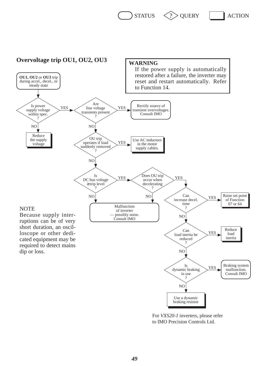$STATUS \leq ?$  QUERY ACTION



For *VXS20-1* inverters, please refer to IMO Precision Controls Ltd.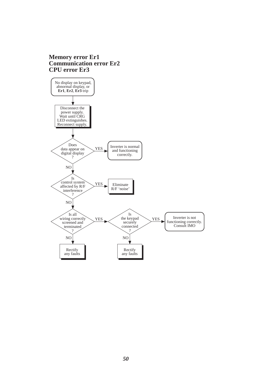#### **Memory error Er1 Communication error Er2 CPU error Er3**

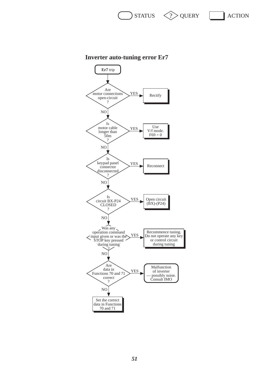

### **Inverter auto-tuning error Er7**

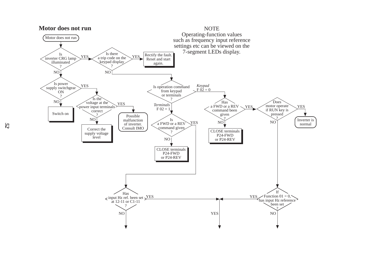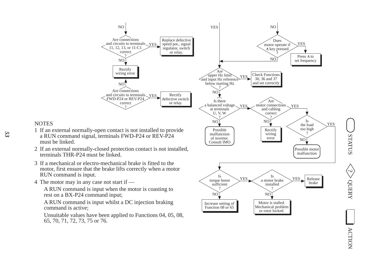

Unsuitable values have been applied to Functions 04, 05, 08, 65, 70, 71, 72, 73, 75 or 76.

### **NOTES**

- 1 If an external normally-open contact is not installed to provide a RUN command signal, terminals FWD-P24 or REV-P24 must be linked.
- 2 If an external normally-closed protection contact is not installed, terminals THR-P24 must be linked.
- 3 If a mechanical or electro-mechanical brake is fitted to the motor, first ensure that the brake lifts correctly when a motor RUN command is input.
- 4 The motor may in any case not start if —

command is active;

*53*

 $\leq$  status  $\leq$  status  $\leq$  status  $\leq$  action OUERY

**ACTION**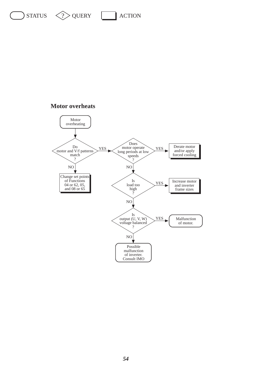# $\sum$  STATUS  $\langle \rangle$  QUERY  $\sum$  ACTION

#### **Motor overheats**

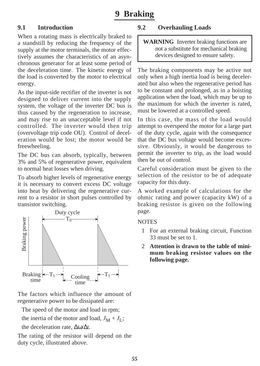### **9.1 Introduction**

When a rotating mass is electrically braked to a standstill by reducing the frequency of the supply at the motor terminals, the motor effectively assumes the characteristics of an asynchronous generator for at least some period of the deceleration time. The kinetic energy of the load is converted by the motor to electrical energy.

As the input-side rectifier of the inverter is not designed to deliver current into the supply system, the voltage of the inverter DC bus is thus caused by the regeneration to increase, and may rise to an unacceptable level if not controlled. The inverter would then trip (overvoltage trip code OU). Control of deceleration would be lost; the motor would be freewheeling.

The DC bus can absorb, typically, between 3% and 5% of regenerative power, equivalent to normal heat losses when driving.

To absorb higher levels of regenerative energy it is necessary to convert excess DC voltage into heat by delivering the regenerative current to a resistor in short pulses controlled by transistor switching.



The factors which influence the amount of regenerative power to be dissipated are:

The speed of the motor and load in rpm;

the inertia of the motor and load,  $J_M + J_I$ ;

the deceleration rate, ∆ω/∆t.

The rating of the resistor will depend on the duty cycle, illustrated above.

### **9.2 Overhauling Loads**

**WARNING** Inverter braking functions are not a substitute for mechanical braking devices designed to ensure safety.

The braking components may be active not only when a high inertia load is being decelerated but also when the regenerative period has to be constant and prolonged, as in a hoisting application when the load, which may be up to the maximum for which the inverter is rated, must be lowered at a controlled speed.

In this case, the mass of the load would attempt to overspeed the motor for a large part of the duty cycle, again with the consequence that the DC bus voltage would become excessive. Obviously, it would be dangerous to permit the inverter to trip, as the load would then be out of control.

Careful consideration must be given to the selection of the resistor to be of adequate capacity for this duty.

A worked example of calculations for the ohmic rating and power (capacity kW) of a braking resistor is given on the following page.

### **NOTES**

- 1 For an external braking circuit, Function 33 must be set to 1.
- 2 **Attention is drawn to the table of minimum braking resistor values on the following page.**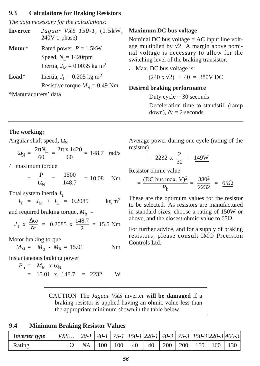#### **9.3 Calculations for Braking Resistors**

*The data necessary for the calculations:*

| Inverter | Jaguar VXS 150-1, (1.5kW, |  |
|----------|---------------------------|--|
|          | $240V$ 1-phase)           |  |

**Motor**\* Rated power, *P* = 1.5kW Speed,  $N_L$ = 1420rpm Inertia,  $J_M = 0.0035$  kg m<sup>2</sup>

**Load**\* Inertia,  $J_{\text{I}} = 0.205 \text{ kg m}^2$ Resistive torque  $M<sub>R</sub> = 0.49$  Nm

\*Manufacturers' data

#### **Maximum DC bus voltage**

Nominal DC bus voltage = AC input line voltage multiplied by  $\sqrt{2}$ . A margin above nominal voltage is necessary to allow for the switching level of the braking transistor.

∴ Max. DC bus voltage is:

 $(240 \times \sqrt{2}) + 40 = 380 \text{V} \text{DC}$ 

#### **Desired braking performance**

Duty  $cycle = 30$  seconds

Deceleration time to standstill (ramp down),  $\Delta t = 2$  seconds

#### **The working:**

Angular shaft speed,  $\omega_{\rm N}$ 

$$
\omega_{N} = \frac{2\pi N_{L}}{60} = \frac{2\pi \times 1420}{60} = 148.7 \text{ rad/s}
$$

∴ maximum torque

$$
= \frac{P}{\omega_{\rm N}} = \frac{1500}{148.7} = 10.08 \text{ Nm}
$$

Total system inertia  $J<sub>T</sub>$ 

$$
J_{\rm T} = J_{\rm M} + J_{\rm L} = 0.2085
$$
 kg m<sup>2</sup>

and required braking torque,  $M<sub>b</sub>$  =

$$
J_{\text{T}} \times \frac{\Delta \omega}{\Delta t} = 0.2085 \times \frac{148.7}{2} = 15.5 \text{ Nm}
$$

Motor braking torque

$$
M_{\rm M} = M_{\rm b} - M_{\rm R} = 15.01
$$
 Nm

Instantaneous braking power

 $P_{\rm b} = M_{\rm M} \times \omega_{\rm N}$  $= 15.01 \times 148.7 = 2232$  W Average power during one cycle (rating of the resistor)

$$
= 2232 \times \frac{2}{30} = 149W
$$

Resistor ohmic value

$$
= \frac{(DC \text{ bus max. V})^2}{P_{\text{b}}} = \frac{380^2}{2232} = \frac{65\Omega}{}
$$

These are the optimum values for the resistor to be selected. As resistors are manufactured in standard sizes, choose a rating of 150W or above, and the closest ohmic value to  $65Ω$ .

For further advice, and for a supply of braking resistors, please consult IMO Precision Controls Ltd.

CAUTION The *Jaguar VXS* inverter **will be damaged** if a braking resistor is applied having an ohmic value less than the appropriate minimum shown in the table below.

### **9.4 Minimum Braking Resistor Values**

| Inverter type | VXS   20-1   40-1   75-1   150-1   220-1   40-3   75-3   150-3   220-3   400-3 |  |  |  |  |                                                                   |
|---------------|--------------------------------------------------------------------------------|--|--|--|--|-------------------------------------------------------------------|
| Rating        |                                                                                |  |  |  |  | $\Omega$   NA   100   100   40   40   200   200   160   160   130 |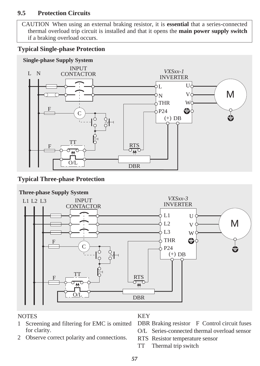### **9.5 Protection Circuits**

CAUTION When using an external braking resistor, it is **essential** that a series-connected thermal overload trip circuit is installed and that it opens the **main power supply switch** if a braking overload occurs.

### **Typical Single-phase Protection**



### **Typical Three-phase Protection**



### **NOTES**

- 1 Screening and filtering for EMC is omitted for clarity.
- 2 Observe correct polarity and connections.

### KEY

DBR Braking resistor F Control circuit fuses

- O/L Series-connected thermal overload sensor
- RTS Resistor temperature sensor
- TT Thermal trip switch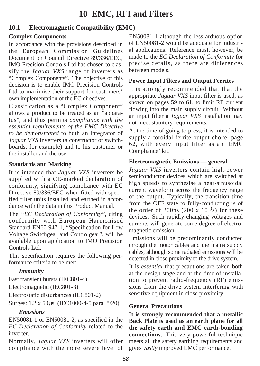### **10.1 Electromagnetic Compatibility (EMC)**

### **Complex Components**

In accordance with the provisions described in the European Commission Guidelines Document on Council Directive 89/336/EEC, IMO Precision Controls Ltd has chosen to classify the *Jaguar VXS* range of inverters as "Complex Components". The objective of this decision is to enable IMO Precision Controls Ltd to maximise their support for customers' own implementation of the EC directives.

Classification as a "Complex Component" allows a product to be treated as an "apparatus", and thus permits *compliance with the essential requirements of the EMC Directive to be demonstrated* to both an integrator of *Jaguar VXS* inverters (a constructor of switchboards, for example) and to his customer or the installer and the user.

### **Standards and Marking**

It is intended that *Jaguar VXS* inverters be supplied with a CE-marked declaration of conformity, signifying compliance with EC Directive 89/336/EEC when fitted with specified filter units installed and earthed in accordance with the data in this Product Manual.

The *"EC Declaration of Conformity"*, citing conformity with European Harmonised Standard EN60 947-1, "Specification for Low Voltage Switchgear and Controlgear", will be available upon application to IMO Precision Controls Ltd.

This specification requires the following performance criteria to be met:

### *Immunity*

Fast transient bursts (IEC801-4)

Electromagnetic (IEC801-3)

Electrostatic disturbances (IEC801-2)

Surges: 1.2 x 50µs (IEC1000-4-5 para. 8/20)

### *Emissions*

EN50081-1 or EN50081-2, as specified in the *EC Declaration of Conformity* related to the inverter.

Normally, *Jaguar VXS* inverters will offer compliance with the more severe level of EN50081-1 although the less-arduous option of EN50081-2 would be adequate for industrial applications. Reference must, however, be made to the *EC Declaration of Conformity* for precise details, as there are differences between models.

### **Power Input Filters and Output Ferrites**

It is strongly recommended that that the appropriate *Jaguar VXS* input filter is used, as shown on pages 59 to 61, to limit RF current flowing into the main supply circuit. Without an input filter a *Jaguar VXS* installation may not meet statutory requirements.

At the time of going to press, it is intended to supply a toroidal ferrite output choke, page 62, with every input filter as an 'EMC Compliance' kit.

### **Electromagnetic Emissions — general**

*Jaguar VXS* inverters contain high-power semiconductor devices which are switched at high speeds to synthesise a near-sinusoidal current waveform across the frequency range of the output. Typically, the transition time from the OFF state to fully-conducting is of the order of 200ns (200 x  $10^{-9}$ s) for these devices. Such rapidly-changing voltages and currents will generate some degree of electromagnetic emission.

Emissions will be predominantly conducted through the motor cables and the mains supply cables, although some radiated emissions will be detected in close proximity to the drive system.

It is *essential* that precautions are taken both at the design stage and at the time of installation to prevent radio-frequency (RF) emissions from the drive system interfering with sensitive equipment in close proximity.

### **General Precautions**

**It is strongly recommended that a metallic Back Plate is used as an earth plane for all the safety earth and EMC earth-bonding connections.** This very powerful technique meets all the safety earthing requirements and gives *vastly* improved EMC performance.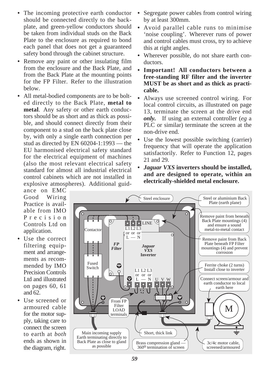- **•** The incoming protective earth conductor should be connected directly to the backplate, and green-yellow conductors should be taken from individual studs on the Back Plate to the enclosure as required to bond each panel that does not get a guaranteed safety bond through the cabinet structure.
- **•** Remove any paint or other insulating film from the enclosure and the Back Plate, and from the Back Plate at the mounting points for the FP Filter. Refer to the illustration below.
- **•** All metal-bodied components are to be bolted directly to the Back Plate, **metal to metal**. Any safety or other earth conductors should be as short and as thick as possible, and should connect directly from their component to a stud on the back plate close by, with only a single earth connection per stud as directed by EN 60204-1:1993 — the EU harmonised electrical safety standard for the electrical equipment of machines (also the most relevant electrical safety standard for almost all industrial electrical control cabinets which are not installed in explosive atmospheres). Additional guid-
- **•** Segregate power cables from control wiring by at least 300mm.
- **•** Avoid parallel cable runs to minimise 'noise coupling'. Wherever runs of power and control cables must cross, try to achieve this at right angles.
- **•** Wherever possible, do not share earth conductors.
- **Important! All conductors between a free-standing RF filter and the inverter MUST be as short and as thick as practicable.**
- **•** Always use screened control wiring. For local control circuits, as illustrated on page 13, terminate the screen at the drive end *only.* If using an external controller (*eg* a PLC or similar) terminate the screen at the non-drive end.
- **•** Use the lowest possible switching (carrier) frequency that will operate the application satisfactorily. Refer to Function 12, pages 21 and 29.
- **•** *Jaguar VXS* **inverters should be installed, and are designed to operate, within an electrically-shielded metal enclosure.**

ance on EMC Good Wiring Practice is available from IMO Precision Controls Ltd on application.

- **•** Use the correct filtering equipment and arrangements as recommended by IMO Precision Controls Ltd and illustrated on pages 60, 61 and 62.
- **•** Use screened or armoured cable for the motor supply, taking care to connect the screen to earth at *both* ends as shown in the diagram, right.

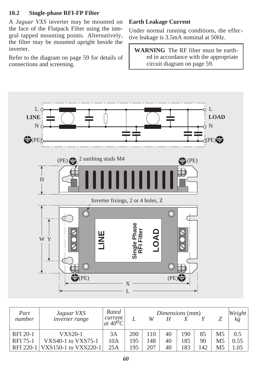### **10.2 Single-phase RFI-FP Filter**

A *Jaguar VXS* inverter may be mounted on the face of the Flatpack Filter using the integral tapped mounting points. Alternatively, the filter may be mounted upright beside the inverter.

Refer to the diagram on page 59 for details of connections and screening.

### **Earth Leakage Current**

Under normal running conditions, the effective leakage is 3.5mA nominal at 50Hz.

**WARNING** The RF filter must be earthed in accordance with the appropriate circuit diagram on page 59.



| Part<br>number | Jaguar VXS<br><i>inverter range</i> | Rated<br>current<br>$at 40^{\circ}C$ |     | W   |    | Dimensions (mm) |     |                | Weight<br>kg |
|----------------|-------------------------------------|--------------------------------------|-----|-----|----|-----------------|-----|----------------|--------------|
| RFI 20-1       | VXS20-1                             | 3A                                   | 200 | 110 | 40 | 190             | 85  | M <sub>5</sub> | 0.5          |
| RFI 75-1       | VXS40-1 to VXS75-1                  | 10A                                  | 195 | 148 | 40 | 185             | 90  | M <sub>5</sub> | 0.55         |
| RFI 220-1      | VXS150-1 to VXS220-1                | 25A                                  | 195 | 207 | 40 | 183             | 142 | M5             | .05          |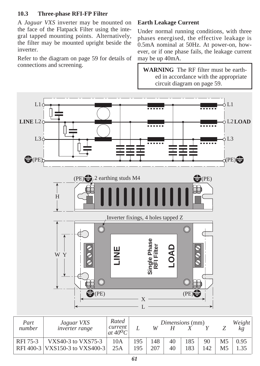### **10.3 Three-phase RFI-FP Filter**

A *Jaguar VXS* inverter may be mounted on the face of the Flatpack Filter using the integral tapped mounting points. Alternatively, the filter may be mounted upright beside the inverter.

Refer to the diagram on page 59 for details of connections and screening.

### **Earth Leakage Current**

Under normal running conditions, with three phases energised, the effective leakage is 0.5mA nominal at 50Hz. At power-on, however, or if one phase fails, the leakage current may be up 40mA.

**WARNING** The RF filter must be earthed in accordance with the appropriate circuit diagram on page 59.



| -------- | $V = V \times V$               |                             |     |     |    |     |     |                | ,, <i>.</i> . |
|----------|--------------------------------|-----------------------------|-----|-----|----|-----|-----|----------------|---------------|
| number   | <i>inverter range</i>          | current<br>at $40^{\circ}C$ |     | W   |    |     |     |                |               |
| RFI 75-3 | VXS40-3 to VXS75-3             | 10A                         | 195 | 148 | 40 | 185 | 90  | M <sub>5</sub> | 0.95          |
|          | RFI 400-3 VXS150-3 to VXS400-3 | 25A                         | 195 | 207 | 40 |     | 142 |                |               |
|          |                                |                             |     |     |    |     |     |                |               |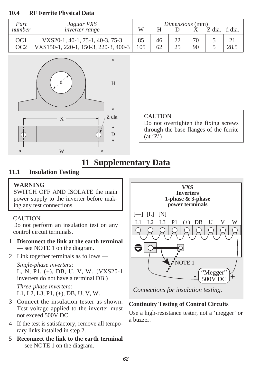### **10.4 RF Ferrite Physical Data**

| Part                               | Jaguar VXS                                                              | <i>Dimensions</i> (mm)<br>W<br>Z dia.<br>d dia. |          |  |    |  |      |  |
|------------------------------------|-------------------------------------------------------------------------|-------------------------------------------------|----------|--|----|--|------|--|
| number                             | <i>inverter range</i>                                                   |                                                 |          |  |    |  |      |  |
| OC <sub>1</sub><br>OC <sub>2</sub> | VXS20-1, 40-1, 75-1, 40-3, 75-3<br>VXS150-1, 220-1, 150-3, 220-3, 400-3 | 105                                             | 46<br>62 |  | 90 |  | 28.5 |  |



| <b>CAUTION</b>                          |
|-----------------------------------------|
| Do not overtighten the fixing screws    |
| through the base flanges of the ferrite |
| (at 'Z')                                |

### **11 Supplementary Data**

### **11.1 Insulation Testing**

### **WARNING**

SWITCH OFF AND ISOLATE the main power supply to the inverter before making any test connections.

### CAUTION

Do not perform an insulation test on any control circuit terminals.

- 1 **Disconnect the link at the earth terminal** — see NOTE 1 on the diagram.
- 2 Link together terminals as follows —

*Single-phase inverters:* L, N, P1, (+), DB, U, V, W. (VXS20-1 inverters do not have a terminal DB.) *Three-phase inverters:* L1, L2, L3, P1, (+), DB, U, V, W.

- 3 Connect the insulation tester as shown. Test voltage applied to the inverter must not exceed 500V DC.
- 4 If the test is satisfactory, remove all temporary links installed in step 2.
- 5 **Reconnect the link to the earth terminal** — see NOTE 1 on the diagram.



*Connections for insulation testing.*

### **Continuity Testing of Control Circuits**

Use a high-resistance tester, not a 'megger' or a buzzer.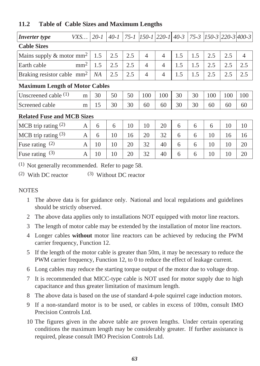| <b>Inverter</b> type                    | VXS     | $20 - 1$ | $40 - 1$ | $75 - 1$ | $[150-1]$ 220-1 40-3 |     |     | $75 - 3$ | $[150-3]$ $[220-3]$ $[400-3]$ |     |                |
|-----------------------------------------|---------|----------|----------|----------|----------------------|-----|-----|----------|-------------------------------|-----|----------------|
| <b>Cable Sizes</b>                      |         |          |          |          |                      |     |     |          |                               |     |                |
| Mains supply $\&$ motor mm <sup>2</sup> |         | 1.5      | 2.5      | 2.5      | $\overline{4}$       | 4   | 1.5 | 1.5      | 2.5                           | 2.5 | $\overline{4}$ |
| Earth cable                             | $mm2$ . | 1.5      | 2.5      | 2.5      | $\overline{4}$       | 4   | 1.5 | 1.5      | 2.5                           | 2.5 | 2.5            |
| Braking resistor cable mm <sup>2</sup>  |         | NA       | 2.5      | 2.5      | $\overline{4}$       | 4   | 1.5 | 1.5      | 2.5                           | 2.5 | 2.5            |
| <b>Maximum Length of Motor Cables</b>   |         |          |          |          |                      |     |     |          |                               |     |                |
| Unscreened cable $(1)$                  | m       | 30       | 50       | 50       | 100                  | 100 | 30  | 30       | 100                           | 100 | 100            |
| Screened cable                          | m       | 15       | 30       | 30       | 60                   | 60  | 30  | 30       | 60                            | 60  | 60             |
| <b>Related Fuse and MCB Sizes</b>       |         |          |          |          |                      |     |     |          |                               |     |                |
| MCB trip rating $(2)$                   | A       | 6        | 6        | 10       | 10                   | 20  | 6   | 6        | 6                             | 10  | 10             |
| MCB trip rating $(3)$                   | A       | 6        | 10       | 16       | 20                   | 32  | 6   | 6        | 10                            | 16  | 16             |
| Fuse rating $(2)$                       | A       | 10       | 10       | 20       | 32                   | 40  | 6   | 6        | 10                            | 10  | 20             |
| Fuse rating $(3)$                       | A       | 10       | 10       | 20       | 32                   | 40  | 6   | 6        | 10                            | 10  | 20             |

### **11.2 Table of Cable Sizes and Maximum Lengths**

(1) Not generally recommended. Refer to page 58.

(2) With DC reactor (3) Without DC reactor

### NOTES

- 1 The above data is for guidance only. National and local regulations and guidelines should be strictly observed.
- 2 The above data applies only to installations NOT equipped with motor line reactors.
- 3 The length of motor cable may be extended by the installation of motor line reactors.
- 4 Longer cables **without** motor line reactors can be achieved by reducing the PWM carrier frequency, Function 12.
- 5 If the length of the motor cable is greater than 50m, it may be necessary to reduce the PWM carrier frequency, Function 12, to 0 to reduce the effect of leakage current.
- 6 Long cables may reduce the starting torque output of the motor due to voltage drop.
- 7 It is recommended that MICC-type cable is NOT used for motor supply due to high capacitance and thus greater limitation of maximum length.
- 8 The above data is based on the use of standard 4-pole squirrel cage induction motors.
- 9 If a non-standard motor is to be used, or cables in excess of 100m, consult IMO Precision Controls Ltd.
- 10 The figures given in the above table are proven lengths. Under certain operating conditions the maximum length may be considerably greater. If further assistance is required, please consult IMO Precision Controls Ltd.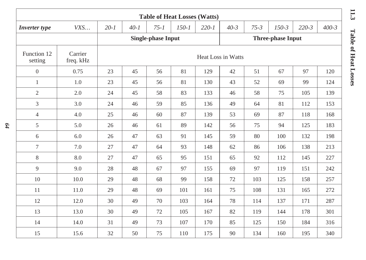| <b>Table of Heat Losses (Watts)</b> |                      |          |                    |                           |           |           |          |          |                          |           |           |
|-------------------------------------|----------------------|----------|--------------------|---------------------------|-----------|-----------|----------|----------|--------------------------|-----------|-----------|
| <b>Inverter</b> type                | VXS                  | $20 - 1$ | $40 - 1$           | $75 - 1$                  | $150 - 1$ | $220 - 1$ | $40 - 3$ | $75 - 3$ | $150 - 3$                | $220 - 3$ | $400 - 3$ |
|                                     |                      |          |                    | <b>Single-phase Input</b> |           |           |          |          | <b>Three-phase Input</b> |           |           |
| Function 12<br>setting              | Carrier<br>freq. kHz |          | Heat Loss in Watts |                           |           |           |          |          |                          |           |           |
| $\overline{0}$                      | 0.75                 | 23       | 45                 | 56                        | 81        | 129       | 42       | 51       | 67                       | 97        | 120       |
| $\mathbf{1}$                        | 1.0                  | 23       | 45                 | 56                        | 81        | 130       | 43       | 52       | 69                       | 99        | 124       |
| $\mathfrak{2}$                      | 2.0                  | 24       | 45                 | 58                        | 83        | 133       | 46       | 58       | 75                       | 105       | 139       |
| 3                                   | 3.0                  | 24       | 46                 | 59                        | 85        | 136       | 49       | 64       | 81                       | 112       | 153       |
| $\overline{4}$                      | 4.0                  | 25       | 46                 | 60                        | 87        | 139       | 53       | 69       | 87                       | 118       | 168       |
| 5                                   | 5.0                  | 26       | 46                 | 61                        | 89        | 142       | 56       | 75       | 94                       | 125       | 183       |
| 6                                   | 6.0                  | 26       | 47                 | 63                        | 91        | 145       | 59       | 80       | 100                      | 132       | 198       |
| $\tau$                              | 7.0                  | 27       | 47                 | 64                        | 93        | 148       | 62       | 86       | 106                      | 138       | 213       |
| 8                                   | 8.0                  | 27       | 47                 | 65                        | 95        | 151       | 65       | 92       | 112                      | 145       | 227       |
| 9                                   | 9.0                  | 28       | 48                 | 67                        | 97        | 155       | 69       | 97       | 119                      | 151       | 242       |
| 10                                  | 10.0                 | 29       | 48                 | 68                        | 99        | 158       | 72       | 103      | 125                      | 158       | 257       |
| 11                                  | 11.0                 | 29       | 48                 | 69                        | 101       | 161       | 75       | 108      | 131                      | 165       | 272       |
| 12                                  | 12.0                 | 30       | 49                 | 70                        | 103       | 164       | 78       | 114      | 137                      | 171       | 287       |
| 13                                  | 13.0                 | 30       | 49                 | 72                        | 105       | 167       | 82       | 119      | 144                      | 178       | 301       |
| 14                                  | 14.0                 | 31       | 49                 | 73                        | 107       | 170       | 85       | 125      | 150                      | 184       | 316       |
| 15                                  | 15.6                 | 32       | 50                 | 75                        | 110       | 175       | 90       | 134      | 160                      | 195       | 340       |